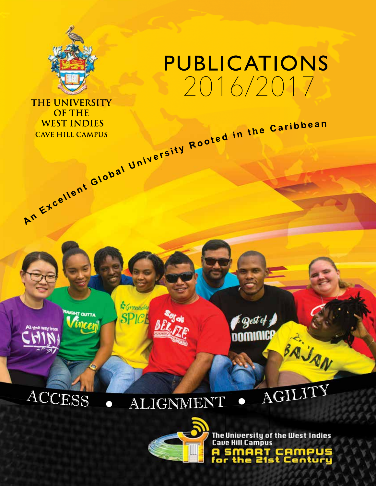

An Excellent Global University Rooted in the Caribbean

#### ACCESS ALIGNMENT  $\bullet$  $\Box$

*<u><i><u>Grenada</u>*</u>

**SPICI** 

**IT OUTTA** 

**If the way from** 



The University of the West Indies<br>Cave Hill Campus T CAMPU

BAJA

AGILITY

Qest of

nomir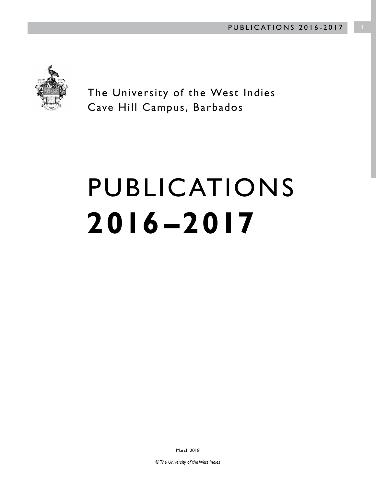

The University of the West Indies Cave Hill Campus, Barbados

# PUBLICATIONS **2016 –2017**

March 2018

*© The University of the West Indies*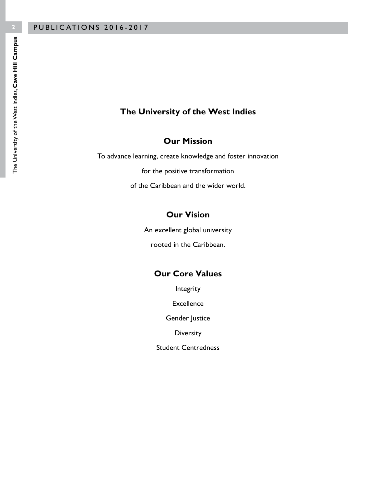#### **The University of the West Indies**

#### **Our Mission**

To advance learning, create knowledge and foster innovation

for the positive transformation

of the Caribbean and the wider world.

#### **Our Vision**

An excellent global university

rooted in the Caribbean.

#### **Our Core Values**

Integrity

Excellence

Gender Justice

**Diversity** 

Student Centredness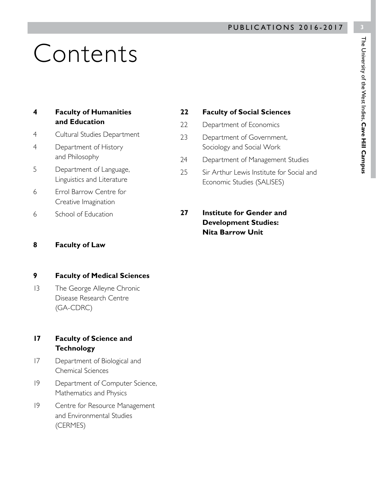## Contents

| 4 | <b>Faculty of Humanities</b> |
|---|------------------------------|
|   | and Education                |

- 4 Cultural Studies Department
- 4 Department of History and Philosophy
- 5 Department of Language, Linguistics and Literature
- 6 Errol Barrow Centre for Creative Imagination
- 6 School of Education

#### **8 Faculty of Law**

#### **9 Faculty of Medical Sciences**

13 The George Alleyne Chronic Disease Research Centre (GA-CDRC)

#### **17 Faculty of Science and Technology**

- 17 Department of Biological and Chemical Sciences
- 19 Department of Computer Science, Mathematics and Physics
- 19 Centre for Resource Management and Environmental Studies (CERMES)

#### **22 Faculty of Social Sciences**

- 22 Department of Economics
- 23 Department of Government, Sociology and Social Work
- 24 Department of Management Studies
- 25 Sir Arthur Lewis Institute for Social and Economic Studies (SALISES)
- **27 Institute for Gender and Development Studies: Nita Barrow Unit**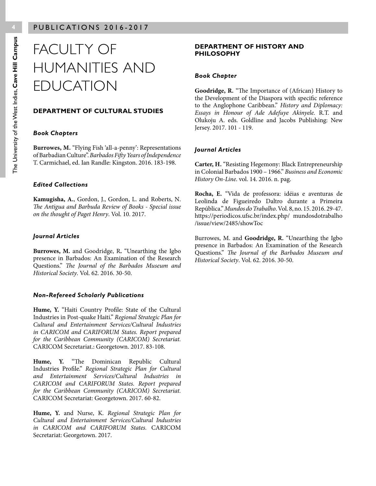## FACULTY OF HUMANITIES AND EDUCATION

#### **DEPARTMENT OF CULTURAL STUDIES**

#### *Book Chapters*

**Burrowes, M.** "Flying Fish 'all-a-penny': Representations of Barbadian Culture". *Barbados Fifty Years of Independence* T. Carmichael, ed. Ian Randle: Kingston. 2016. 183-198.

#### *Edited Collections*

**Kamugisha, A.**, Gordon, J., Gordon, L. and Roberts, N. *The Antigua and Barbuda Review of Books - Special issue on the thought of Paget Henry*. Vol. 10. 2017.

#### *Journal Articles*

**Burrowes, M.** and Goodridge, R**.** "Unearthing the Igbo presence in Barbados: An Examination of the Research Questions." *The Journal of the Barbados Museum and Historical Society*. Vol. 62. 2016. 30-50.

#### *Non-Refereed Scholarly Publications*

**Hume, Y.** "Haiti Country Profile: State of the Cultural Industries in Post-quake Haiti." *Regional Strategic Plan for Cultural and Entertainment Services/Cultural Industries in CARICOM and CARIFORUM States. Report prepared for the Caribbean Community (CARICOM) Secretariat.* CARICOM Secretariat.: Georgetown. 2017. 83-108.

**Hume, Y.** "The Dominican Republic Cultural Industries Profile." *Regional Strategic Plan for Cultural and Entertainment Services/Cultural Industries in CARICOM and CARIFORUM States. Report prepared for the Caribbean Community (CARICOM) Secretariat.* CARICOM Secretariat: Georgetown. 2017. 60-82.

**Hume, Y.** and Nurse, K. *Regional Strategic Plan for Cultural and Entertainment Services/Cultural Industries in CARICOM and CARIFORUM States.* CARICOM Secretariat: Georgetown. 2017.

#### **DEPARTMENT OF HISTORY AND PHILOSOPHY**

#### *Book Chapter*

**Goodridge, R.** "The Importance of (African) History to the Development of the Diaspora with specific reference to the Anglophone Caribbean." *History and Diplomacy: Essays in Honour of Ade Adefuye Akinyele.* R.T. and Olukoju A. eds. Goldline and Jacobs Publishing: New Jersey. 2017. 101 - 119.

#### *Journal Articles*

**Carter, H.** "Resisting Hegemony: Black Entrepreneurship in Colonial Barbados 1900 – 1966." *Business and Economic History On-Line*. vol. 14. 2016. n. pag.

**Rocha, E.** "Vida de professora: idéias e aventuras de Leolinda de Figueiredo Daltro durante a Primeira República." *Mundos do Trabalho*. Vol. 8, no. 15. 2016. 29-47. https://periodicos.ufsc.br/index.php/ mundosdotrabalho /issue/view/2485/showToc

Burrowes, M. and **Goodridge, R.** "Unearthing the Igbo presence in Barbados: An Examination of the Research Questions." *The Journal of the Barbados Museum and Historical Society*. Vol. 62. 2016. 30-50.

The University of the West Indies, **Cave Hill Campus**

The University of the West Indies, Cave Hill Campus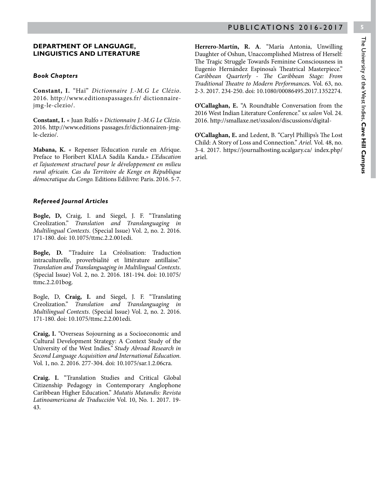#### **DEPARTMENT OF LANGUAGE, LINGUISTICS AND LITERATURE**

#### *Book Chapters*

**Constant, I.** "Haï" *Dictionnaire J.-M.G Le Clézio*. 2016. http://www.editionspassages.fr/ dictionnairejmg-le-clezio/.

**Constant, I.** « Juan Rulfo » *Dictionnaire J.-M.G Le Clézio*. 2016. http://www.editions passages.fr/dictionnairen-jmgle-clezio/.

**Mabana, K.** « Repenser l'éducation rurale en Afrique. Preface to Floribert KIALA Sadila Kanda.» *L'Education et l'ajustement structurel pour le développement en milieu rural africain. Cas du Territoire de Kenge en République démocratique du Congo.* Editions Edilivre: Paris. 2016. 5-7.

#### *Refereed Journal Articles*

**Bogle, D,** Craig, I. and Siegel, J. F. "Translating Creolization." *Translation and Translanguaging in Multilingual Contexts*. (Special Issue) Vol. 2, no. 2. 2016. 171-180. doi: 10.1075/ttmc.2.2.001edi.

**Bogle, D.** "Traduire La Créolisation: Traduction intraculturelle, proverbialité et littérature antillaise." *Translation and Translanguaging in Multilingual Contexts*. (Special Issue) Vol. 2, no. 2. 2016. 181-194. doi: 10.1075/ ttmc.2.2.01bog.

Bogle, D, **Craig, I.** and Siegel, J. F. "Translating Creolization." *Translation and Translanguaging in Multilingual Contexts*. (Special Issue) Vol. 2, no. 2. 2016. 171-180. doi: 10.1075/ttmc.2.2.001edi.

**Craig, I.** "Overseas Sojourning as a Socioeconomic and Cultural Development Strategy: A Context Study of the University of the West Indies*." Study Abroad Research in Second Language Acquisition and International Education.* Vol. 1, no. 2. 2016. 277-304. doi: 10.1075/sar.1.2.06cra.

**Craig. I.** "Translation Studies and Critical Global Citizenship Pedagogy in Contemporary Anglophone Caribbean Higher Education." *Mutatis Mutandis: Revista Latinoamericana de Traducción* Vol. 10, No. 1. 2017. 19- 43.

**Herrero-Martín, R. A**. "María Antonia, Unwilling Daughter of Oshun, Unaccomplished Mistress of Herself: The Tragic Struggle Towards Feminine Consciousness in Eugenio Hernández Espinosa's Theatrical Masterpiece." *Caribbean Quarterly* - *The Caribbean Stage: From Traditional Theatre to Modern Performance*s. Vol. 63, no. 2-3. 2017. 234-250. doi: 10.1080/00086495.2017.1352274.

**O'Callaghan, E.** "A Roundtable Conversation from the 2016 West Indian Literature Conference." s*x salon* Vol. 24. 2016. http://smallaxe.net/sxsalon/discussions/digital-

**O'Callaghan, E.** and Ledent, B. "Caryl Phillips's The Lost Child: A Story of Loss and Connection." *Ariel.* Vol. 48, no. 3-4. 2017. https://journalhosting.ucalgary.ca/ index.php/ ariel.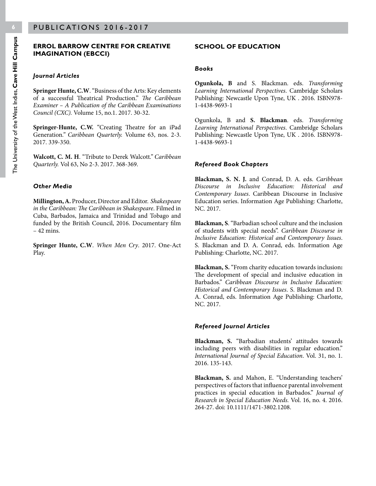#### **ERROL BARROW CENTRE FOR CREATIVE IMAGINATION (EBCCI)**

#### *Journal Articles*

**Springer Hunte, C.W**. "Business of the Arts: Key elements of a successful Theatrical Production." *The Caribbean Examiner – A Publication of the Caribbean Examinations Council (CXC).* Volume 15, no.1. 2017. 30-32.

**Springer-Hunte, C.W.** "Creating Theatre for an iPad Generation*." Caribbean Quarterly.* Volume 63, nos. 2-3. 2017. 339-350.

**Walcott, C. M. H**. "Tribute to Derek Walcott*." Caribbean Quarterly.* Vol 63, No 2-3. 2017. 368-369.

#### *Other Media*

**Millington, A.** Producer, Director and Editor. *Shakespeare in the Caribbean: The Caribbean in Shakespeare*. Filmed in Cuba, Barbados, Jamaica and Trinidad and Tobago and funded by the British Council, 2016. Documentary film – 42 mins.

**Springer Hunte, C.W**. *When Men Cry*. 2017. One-Act Play.

#### **SCHOOL OF EDUCATION**

#### *Books*

**Ogunkola, B** and S. Blackman. eds. *Transforming Learning International Perspectives*. Cambridge Scholars Publishing: Newcastle Upon Tyne, UK . 2016. ISBN978- 1-4438-9693-1

Ogunkola, B and **S. Blackman**. eds. *Transforming Learning International Perspectives*. Cambridge Scholars Publishing: Newcastle Upon Tyne, UK . 2016. ISBN978- 1-4438-9693-1

#### *Refereed Book Chapters*

**Blackman, S. N. J.** and Conrad, D. A. eds. *Caribbean Discourse in Inclusive Education: Historical and Contemporary Issues*. Caribbean Discourse in Inclusive Education series. Information Age Publishing: Charlotte, NC. 2017.

**Blackman, S**. "Barbadian school culture and the inclusion of students with special needs". *Caribbean Discourse in Inclusive Education: Historical and Contemporary Issues*. S. Blackman and D. A. Conrad, eds. Information Age Publishing: Charlotte, NC. 2017.

**Blackman, S.** "From charity education towards inclusion**:**  The development of special and inclusive education in Barbados." *Caribbean Discourse in Inclusive Education: Historical and Contemporary Issues*. S. Blackman and D. A. Conrad, eds. Information Age Publishing: Charlotte, NC. 2017.

#### *Refereed Journal Articles*

**Blackman, S.** "Barbadian students' attitudes towards including peers with disabilities in regular education." *International Journal of Special Education*. Vol. 31, no. 1. 2016. 135-143.

**Blackman, S.** and Mahon, E. "Understanding teachers' perspectives of factors that influence parental involvement practices in special education in Barbados." *Journal of Research in Special Education Needs.* Vol. 16, no. 4. 2016. 264-27. doi: 10.1111/1471-3802.1208.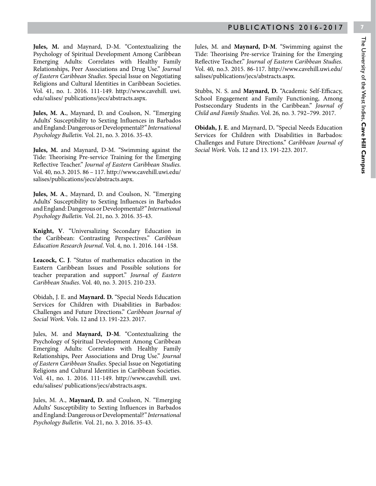The University of the West Indies, Cave Hill Campus The University of the West Indies, **Cave Hill Campus**

**Jules, M.** and Maynard, D-M. "Contextualizing the Psychology of Spiritual Development Among Caribbean Emerging Adults: Correlates with Healthy Family Relationships, Peer Associations and Drug Use." *Journal of Eastern Caribbean Studies*. Special Issue on Negotiating Religions and Cultural Identities in Caribbean Societies. Vol. 41, no. 1. 2016. 111-149. http://www.cavehill. uwi. edu/salises/ publications/jecs/abstracts.aspx.

**Jules, M. A.**, Maynard, D. and Coulson, N. "Emerging Adults' Susceptibility to Sexting Influences in Barbados and England: Dangerous or Developmental?" *International Psychology Bulletin.* Vol. 21, no. 3. 2016. 35-43.

**Jules, M.** and Maynard, D-M. "Swimming against the Tide: Theorising Pre-service Training for the Emerging Reflective Teacher." *Journal of Eastern Caribbean Studies.*  Vol. 40*,* no.3. 2015. 86 – 117. http://www.cavehill.uwi.edu/ salises/publications/jecs/abstracts.aspx.

**Jules, M. A**., Maynard, D. and Coulson, N. "Emerging Adults' Susceptibility to Sexting Influences in Barbados and England: Dangerous or Developmental?" *International Psychology Bulletin.* Vol. 21, no. 3. 2016. 35-43.

**Knight, V**. "Universalizing Secondary Education in the Caribbean: Contrasting Perspectives." *Caribbean Education Research Journal*. Vol. 4, no. 1. 2016. 144 -158.

**Leacock, C. J**. "Status of mathematics education in the Eastern Caribbean Issues and Possible solutions for teacher preparation and support." *Journal of Eastern Caribbean Studies*. Vol. 40, no. 3. 2015. 210-233.

Obidah, J. E. and **Maynard. D.** "Special Needs Education Services for Children with Disabilities in Barbados: Challenges and Future Directions." *Caribbean Journal of Social Work.* Vols. 12 and 13. 191-223. 2017.

Jules, M. and **Maynard, D-M**. "Contextualizing the Psychology of Spiritual Development Among Caribbean Emerging Adults: Correlates with Healthy Family Relationships, Peer Associations and Drug Use." *Journal of Eastern Caribbean Studies*. Special Issue on Negotiating Religions and Cultural Identities in Caribbean Societies. Vol. 41, no. 1. 2016. 111-149. http://www.cavehill. uwi. edu/salises/ publications/jecs/abstracts.aspx.

Jules, M. A., **Maynard, D.** and Coulson, N. "Emerging Adults' Susceptibility to Sexting Influences in Barbados and England: Dangerous or Developmental?" *International Psychology Bulletin.* Vol. 21, no. 3. 2016. 35-43.

Jules, M. and **Maynard, D-M**. "Swimming against the Tide: Theorising Pre-service Training for the Emerging Reflective Teacher." *Journal of Eastern Caribbean Studies.*  Vol. 40*,* no.3. 2015. 86-117. http://www.cavehill.uwi.edu/ salises/publications/jecs/abstracts.aspx.

Stubbs, N. S. and **Maynard, D.** "Academic Self-Efficacy, School Engagement and Family Functioning, Among Postsecondary Students in the Caribbean." *Journal of Child and Family Studies*. Vol. 26*,* no. 3. 792–799. 2017.

**Obidah, J. E**. and Maynard, D**.** "Special Needs Education Services for Children with Disabilities in Barbados: Challenges and Future Directions." *Caribbean Journal of Social Work.* Vols. 12 and 13. 191-223. 2017.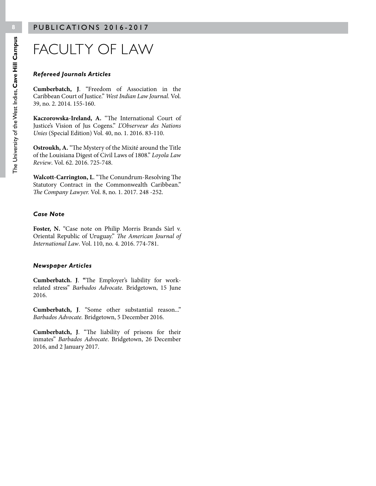## FACULTY OF LAW

#### *Refereed Journals Articles*

**Cumberbatch, J**. "Freedom of Association in the Caribbean Court of Justice." *West Indian Law Journal.* Vol. 39, no. 2. 2014. 155-160.

**Kaczorowska-Ireland, A.** "The International Court of Justice's Vision of Jus Cogens." *L'Observeur des Nations Unies* (Special Edition) Vol. 40, no. 1. 2016. 83-110.

**Ostroukh, A.** "The Mystery of the Mixité around the Title of the Louisiana Digest of Civil Laws of 1808." *Loyola Law Review*. Vol. 62. 2016. 725-748.

**Walcott-Carrington, L**. "The Conundrum-Resolving The Statutory Contract in the Commonwealth Caribbean." *The Company Lawyer.* Vol. 8, no. 1. 2017*.* 248 -252.

#### *Case Note*

**Foster, N.** "Case note on Philip Morris Brands Sàrl v. Oriental Republic of Uruguay." *The American Journal of International Law*. Vol. 110, no. 4. 2016. 774-781.

#### *Newspaper Articles*

**Cumberbatch. J**. **"**The Employer's liability for workrelated stress" *Barbados Advocate.* Bridgetown, 15 June 2016.

**Cumberbatch, J**. "Some other substantial reason..." *Barbados Advocate.* Bridgetown, 5 December 2016.

**Cumberbatch, J**. "The liability of prisons for their inmates" *Barbados Advocate*. Bridgetown, 26 December 2016, and 2 January 2017.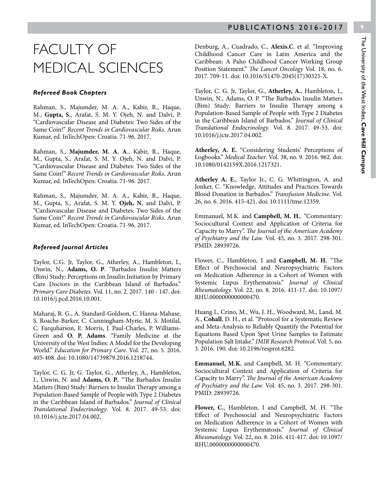### FACULTY OF MEDICAL SCIENCES

#### *Refereed Book Chapters*

Rahman, S., Majumder, M. A. A., Kabir, R., Haque, M., **Gupta, S.**, Arafat, S. M. Y. Ojeh, N. and Dalvi, P. "Cardiovascular Disease and Diabetes: Two Sides of the Same Coin!" *Recent Trends in Cardiovascular Risks*. Arun Kumar, ed. InTechOpen: Croatia. 71-96. 2017.

Rahman, S., **Majumder, M. A. A**., Kabir, R., Haque, M., Gupta, S., Arafat, S. M. Y. Ojeh, N. and Dalvi, P. "Cardiovascular Disease and Diabetes: Two Sides of the Same Coin!" *Recent Trends in Cardiovascular Risks*. Arun Kumar, ed. InTechOpen: Croatia. 71-96. 2017.

Rahman, S., Majumder, M. A. A., Kabir, R., Haque, M., Gupta, S., Arafat, S. M. Y. **Ojeh, N.** and Dalvi, P. "Cardiovascular Disease and Diabetes: Two Sides of the Same Coin!" *Recent Trends in Cardiovascular Risks*. Arun Kumar, ed. InTechOpen: Croatia. 71-96. 2017.

#### *Refereed Journal Articles*

Taylor, C.G. Jr, Taylor, G., Atherley, A., Hambleton, I., Unwin, N., **Adams, O. P**. "Barbados Insulin Matters (Bim) Study: Perceptions on Insulin Initiation by Primary Care Doctors in the Caribbean Island of Barbados." *Primary Care Diabetes*. Vol. 11, no. 2. 2017. 140 - 147. doi: 10.1016/j.pcd.2016.10.001.

Maharaj, R. G., A. Standard-Goldson, C. Hanna-Mahase, S. Roache-Barker, C. Cunningham-Myrie, M. S. Motilal, C. Farquharson, E. Morris, J. Paul-Charles, P. Williams-Green and **O. P. Adams**. "Family Medicine at the University of the West Indies: A Model for the Developing World." *Education for Primary Care*. Vol. 27, no. 5. 2016. 405-408. doi: 10.1080/14739879.2016.1218744.

Taylor, C. G. Jr, G. Taylor, G., Atherley, A., Hambleton, I., Unwin, N. and **Adams, O. P.**. "The Barbados Insulin Matters (Bim) Study: Barriers to Insulin Therapy among a Population-Based Sample of People with Type 2 Diabetes in the Caribbean Island of Barbados." *Journal of Clinical Translational Endocrinology*. Vol. 8. 2017. 49-53. doi: 10.1016/j.jcte.2017.04.002.

Denburg, A., Cuadrado, C., **Alexis**,**C**. et al. "Improving Childhood Cancer Care in Latin America and the Caribbean: A Paho Childhood Cancer Working Group Position Statement." *The Lancet Oncology* Vol*.* 18, no. 6. 2017. 709-11. doi: 10.1016/S1470-2045(17)30325-X.

Taylor, C. G. Jr, Taylor, G., **Atherley, A.**, Hambleton, I., Unwin, N., Adams, O. P. "The Barbados Insulin Matters (Bim) Study: Barriers to Insulin Therapy among a Population-Based Sample of People with Type 2 Diabetes in the Caribbean Island of Barbados." *Journal of Clinical Translational Endocrinology.* Vol. 8. 2017. 49-53. doi: 10.1016/j.jcte.2017.04.002.

**Atherley, A. E.** "Considering Students' Perceptions of Logbooks." *Medical Teacher*. Vol. 38, no. 9. 2016. 962. doi: 10.1080/0142159X.2016.1217321.

**Atherley A. E.**, Taylor Jr., C. G. Whittington, A. and Jonker, C. "Knowledge, Attitudes and Practices Towards Blood Donation in Barbados." *Transfusion Medicine*. Vol. 26, no. 6. 2016. 415-421. doi: 10.1111/tme.12359.

Emmanuel, M.K. and **Campbell, M. H.**. "Commentary: Sociocultural Context and Application of Criteria for Capacity to Marry". *The Journal of the American Academy of Psychiatry and the Law.* Vol. 45, no. 3. 2017. 298-301. PMID: 28939726.

Flower, C., Hambleton, I and **Campbell, M. H.** "The Effect of Psychosocial and Neuropsychiatric Factors on Medication Adherence in a Cohort of Women with Systemic Lupus Erythematosis." *Journal of Clinical Rheumatology.* Vol. 22, no. 8. 2016. 411-17. doi: 10.1097/ RHU.0000000000000470.

Huang L, Crino, M., Wu, J. H., Woodward, M., Land, M. A., **Cohall**, D. H., et al. "Protocol for a Systematic Review and Meta-Analysis to Reliably Quantify the Potential for Equations Based Upon Spot Urine Samples to Estimate Population Salt Intake." *JMIR Research Protocol*. Vol. 5, no. 3. 2016. 190. doi: 10.2196/resprot.6282.

**Emmanuel, M.K.** and Campbell, M. H. "Commentary: Sociocultural Context and Application of Criteria for Capacity to Marry". *The Journal of the American Academy of Psychiatry and the Law.* Vol. 45, no. 3. 2017. 298-301. PMID: 28939726.

**Flower, C.**, Hambleton, I and Campbell, M. H. "The Effect of Psychosocial and Neuropsychiatric Factors on Medication Adherence in a Cohort of Women with Systemic Lupus Erythematosis." *Journal of Clinical Rheumatology.* Vol. 22, no. 8. 2016. 411-417. doi: 10.1097/ RHU.0000000000000470.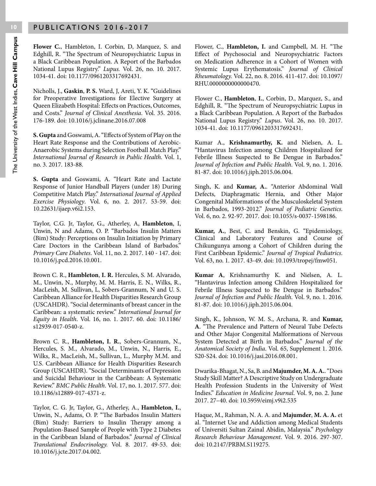**Flower C.**, Hambleton, I. Corbin, D, Marquez, S. and Edghill, R. "The Spectrum of Neuropsychiatric Lupus in a Black Caribbean Population. A Report of the Barbados National Lupus Registry." *Lupus.* Vol. 26, no. 10. 2017. 1034-41. doi: 10.1177/0961203317692431.

Nicholls, J., **Gaskin**, **P. S.** Ward, J, Areti, Y. K. "Guidelines for Preoperative Investigations for Elective Surgery at Queen Elizabeth Hospital: Effects on Practices, Outcomes, and Costs." *Journal of Clinical Anesthesia*. Vol. 35. 2016. 176-189. doi: 10.1016/j.jclinane.2016.07.008

**S. Gupta** and Goswami, A. "Effects of System of Play on the Heart Rate Response and the Contributions of Aerobic-Anaerobic Systems during Selection Football Match Play." *International Journal of Research in Public Health.* Vol. 1, no. 3. 2017. 183-88.

**S. Gupta** and Goswami, A. "Heart Rate and Lactate Response of Junior Handball Players (under 18) During Competitive Match Play." *International Journal of Applied Exercise Physiology*. Vol. 6, no. 2. 2017. 53-59. doi: 10.22631/ijaep.v6i2.153.

Taylor, C.G. Jr, Taylor, G., Atherley, A, **Hambleton**, I, Unwin, N and Adams, O. P. "Barbados Insulin Matters (Bim) Study: Perceptions on Insulin Initiation by Primary Care Doctors in the Caribbean Island of Barbados." *Primary Care Diabetes*. Vol. 11, no. 2. 2017. 140 - 147. doi: 10.1016/j.pcd.2016.10.001.

Brown C. R., **Hambleton**, **I. R.** Hercules, S. M. Alvarado, M., Unwin, N., Murphy, M. M. Harris, E. N., Wilks, R., MacLeish, M. Sullivan, L, Sobers-Grannum, N and U. S. Caribbean Alliance for Health Disparities Research Group (USCAHDR). "Social determinants of breast cancer in the Caribbean: a systematic review." *International Journal for Equity in Health*. Vol. 16, no. 1. 2017. 60. doi: 10.1186/ s12939-017-0540-z.

Brown C. R., **Hambleton, I. R.**, Sobers-Grannum, N., Hercules, S. M., Alvarado, M., Unwin, N., Harris, E., Wilks, R., MacLeish, M., Sullivan, L., Murphy M.M. and U.S. Caribbean Alliance for Health Disparities Research Group (USCAHDR). "Social Determinants of Depression and Suicidal Behaviour in the Caribbean: A Systematic Review." *BMC Public Health*. Vol. 17, no. 1. 2017. 577. doi: 10.1186/s12889-017-4371-z.

Taylor, C. G. Jr, Taylor, G., Atherley, A., **Hambleton**, **I.**, Unwin, N., Adams, O. P. "The Barbados Insulin Matters (Bim) Study: Barriers to Insulin Therapy among a Population-Based Sample of People with Type 2 Diabetes in the Caribbean Island of Barbados." *Journal of Clinical Translational Endocrinology.* Vol. 8. 2017. 49-53. doi: 10.1016/j.jcte.2017.04.002.

Flower, C., **Hambleton, I.** and Campbell, M. H. "The Effect of Psychosocial and Neuropsychiatric Factors on Medication Adherence in a Cohort of Women with Systemic Lupus Erythematosis." *Journal of Clinical Rheumatology.* Vol. 22, no. 8. 2016. 411-417. doi: 10.1097/ RHU.0000000000000470.

Flower C., **Hambleton**, **I.**, Corbin, D., Marquez, S., and Edghill, R. "The Spectrum of Neuropsychiatric Lupus in a Black Caribbean Population. A Report of the Barbados National Lupus Registry." *Lupus*. Vol. 26, no. 10. 2017. 1034-41. doi: 10.1177/0961203317692431.

Kumar A., **Krishnamurthy, K.** and Nielsen, A. L. "Hantavirus Infection among Children Hospitalized for Febrile Illness Suspected to Be Dengue in Barbados." *Journal of Infection and Public Health*. Vol. 9, no. 1. 2016. 81-87. doi: 10.1016/j.jiph.2015.06.004.

Singh, K. and **Kumar, A.**. "Anterior Abdominal Wall Defects, Diaphragmatic Hernia, and Other Major Congenital Malformations of the Musculoskeletal System in Barbados, 1993-2012." *Journal of Pediatric Genetics*. Vol. 6, no. 2. 92-97. 2017. doi: 10.1055/s-0037-1598186.

**Kumar, A.**, Best, C. and Benskin, G. "Epidemiology, Clinical and Laboratory Features and Course of Chikungunya among a Cohort of Children during the First Caribbean Epidemic." *Journal of Tropical Pediatrics*. Vol. 63, no. 1. 2017. 43-49. doi: 10.1093/tropej/fmw051.

**Kumar A**, Krishnamurthy K. and Nielsen, A. L. "Hantavirus Infection among Children Hospitalized for Febrile Illness Suspected to Be Dengue in Barbados." *Journal of Infection and Public Health*. Vol. 9, no. 1. 2016. 81-87. doi: 10.1016/j.jiph.2015.06.004.

Singh, K., Johnson, W. M. S., Archana, R. and **Kumar, A**. "The Prevalence and Pattern of Neural Tube Defects and Other Major Congenital Malformations of Nervous System Detected at Birth in Barbados." *Journal of the Anatomical Society of India*. Vol. 65, Supplement 1. 2016. S20-S24. doi: 10.1016/j.jasi.2016.08.001.

Dwarika-Bhagat, N., Sa, B. and **Majumder, M. A. A.**. "Does Study Skill Matter? A Descriptive Study on Undergraduate Health Profession Students in the University of West Indies." *Education in Medicine Journal*. Vol. 9, no. 2. June 2017. 27–40. doi: 10.5959/eimj.v9i2.535

Haque, M., Rahman, N. A. A. and **Majumder**, **M. A. A.** et al. "Internet Use and Addiction among Medical Students of Universiti Sultan Zainal Abidin, Malaysia." *Psychology Research Behaviour Management*. Vol. 9. 2016. 297-307. doi: 10.2147/PRBM.S119275.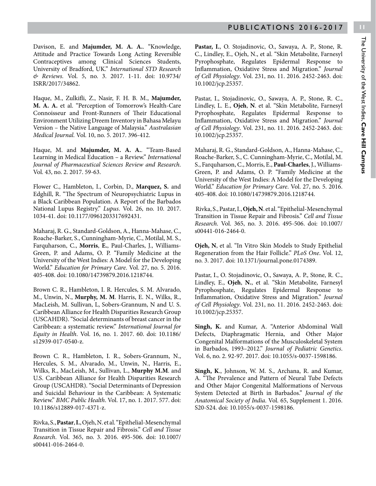Davison, E. and **Majumder, M. A. A.**. "Knowledge, Attitude and Practice Towards Long Acting Reversible Contraceptives among Clinical Sciences Students, University of Bradford, UK." *International STD Research & Reviews.* Vol. 5, no. 3. 2017. 1-11. doi: 10.9734/ ISRR/2017/34862.

Haque, M., Zulkifli, Z., Nasir, F. H. B. M., **Majumder, M. A. A.** et al. "Perception of Tomorrow's Health-Care Connoisseur and Front-Runners of Their Educational Environment Utilizing Dreem Inventory in Bahasa Melayu Version – the Native Language of Malaysia." *Australasian Medical Journal.* Vol. 10, no. 5. 2017. 396-412.

Haque, M. and **Majumder, M. A. A.**. "Team-Based Learning in Medical Education – a Review." *International Journal of Pharmaceutical Sciences Review and Research*. Vol. 43, no. 2. 2017. 59-63.

Flower C., Hambleton, I., Corbin, D., **Marquez, S.** and Edghill, R. "The Spectrum of Neuropsychiatric Lupus in a Black Caribbean Population. A Report of the Barbados National Lupus Registry." *Lupus*. Vol. 26, no. 10. 2017. 1034-41. doi: 10.1177/0961203317692431.

Maharaj, R. G., Standard-Goldson, A., Hanna-Mahase, C., Roache-Barker, S., Cunningham-Myrie, C., Motilal, M. S., Farquharson, C., **Morris**, **E.**, Paul-Charles, J., Williams-Green, P. and Adams, O. P. "Family Medicine at the University of the West Indies: A Model for the Developing World." *Education for Primary Care*. Vol. 27, no. 5. 2016. 405-408. doi: 10.1080/14739879.2016.1218744.

Brown C. R., Hambleton, I. R. Hercules, S. M. Alvarado, M., Unwin, N., **Murphy, M. M**. Harris, E. N., Wilks, R., MacLeish, M. Sullivan, L, Sobers-Grannum, N and U. S. Caribbean Alliance for Health Disparities Research Group (USCAHDR). "Social determinants of breast cancer in the Caribbean: a systematic review." *International Journal for Equity in Health*. Vol. 16, no. 1. 2017. 60. doi: 10.1186/ s12939-017-0540-z.

Brown C. R., Hambleton, I. R., Sobers-Grannum, N., Hercules, S. M., Alvarado, M., Unwin, N., Harris, E., Wilks, R., MacLeish, M., Sullivan, L., **Murphy M.M**. and U.S. Caribbean Alliance for Health Disparities Research Group (USCAHDR). "Social Determinants of Depression and Suicidal Behaviour in the Caribbean: A Systematic Review." *BMC Public Health*. Vol. 17, no. 1. 2017. 577. doi: 10.1186/s12889-017-4371-z.

Rivka, S., **Pastar**, **I.**, Ojeh, N. et al. "Epithelial-Mesenchymal Transition in Tissue Repair and Fibrosis." *Cell and Tissue Research*. Vol. 365, no. 3. 2016. 495-506. doi: 10.1007/ s00441-016-2464-0.

**Pastar, I.**, O. Stojadinovic, O., Sawaya, A. P., Stone, R. C., Lindley, E., Ojeh, N., et al. "Skin Metabolite, Farnesyl Pyrophosphate, Regulates Epidermal Response to Inflammation, Oxidative Stress and Migration." *Journal of Cell Physiology*. Vol. 231, no. 11. 2016. 2452-2463. doi: 10.1002/jcp.25357.

Pastar, I., Stojadinovic, O., Sawaya, A. P., Stone, R. C., Lindley, L. E., **Ojeh**, **N**. et al. "Skin Metabolite, Farnesyl Pyrophosphate, Regulates Epidermal Response to Inflammation, Oxidative Stress and Migration." *Journal of Cell Physiology*. Vol. 231, no. 11. 2016. 2452-2463. doi:  $10.1002$ /jcp.25357.

Maharaj, R. G., Standard-Goldson, A., Hanna-Mahase, C., Roache-Barker, S., C. Cunningham-Myrie, C., Motilal, M. S., Farquharson, C., Morris, E., **Paul-Charles**, J., Williams-Green, P. and Adams, O. P. "Family Medicine at the University of the West Indies: A Model for the Developing World." *Education for Primary Care*. Vol. 27, no. 5. 2016. 405-408. doi: 10.1080/14739879.2016.1218744.

 Rivka, S.,Pastar, I., **Ojeh, N**. et al. "Epithelial-Mesenchymal Transition in Tissue Repair and Fibrosis." *Cell and Tissue Research*. Vol. 365, no. 3. 2016. 495-506. doi: 10.1007/ s00441-016-2464-0.

**Ojeh, N**, et al. "In Vitro Skin Models to Study Epithelial Regeneration from the Hair Follicle." *PLoS One*. Vol. 12, no. 3. 2017. doi: 10.1371/journal.pone.0174389.

Pastar, I., O. Stojadinovic, O., Sawaya, A. P., Stone, R. C., Lindley, E., **Ojeh**, **N.**, et al. "Skin Metabolite, Farnesyl Pyrophosphate, Regulates Epidermal Response to Inflammation, Oxidative Stress and Migration." *Journal of Cell Physiology*. Vol. 231, no. 11. 2016. 2452-2463. doi: 10.1002/jcp.25357.

**Singh, K.** and Kumar, A. "Anterior Abdominal Wall Defects, Diaphragmatic Hernia, and Other Major Congenital Malformations of the Musculoskeletal System in Barbados, 1993–2012." *Journal of Pediatric Genetics*. Vol. 6, no. 2. 92-97. 2017. doi: 10.1055/s-0037-1598186.

**Singh, K**., Johnson, W. M. S., Archana, R. and Kumar, A. "The Prevalence and Pattern of Neural Tube Defects and Other Major Congenital Malformations of Nervous System Detected at Birth in Barbados." *Journal of the Anatomical Society of India*. Vol. 65, Supplement 1. 2016. S20-S24. doi: 10.1055/s-0037-1598186.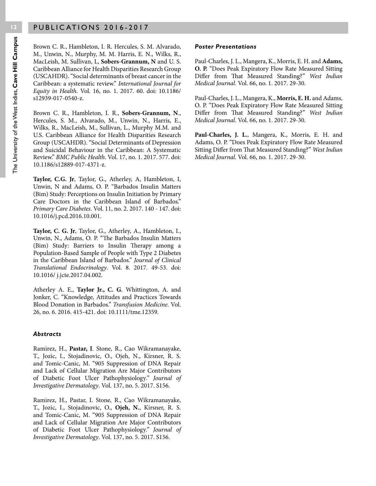Brown C. R., Hambleton, I. R. Hercules, S. M. Alvarado, M., Unwin, N., Murphy, M. M. Harris, E. N., Wilks, R., MacLeish, M. Sullivan, L, **Sobers-Grannum, N** and U. S. Caribbean Alliance for Health Disparities Research Group (USCAHDR). "Social determinants of breast cancer in the Caribbean: a systematic review." *International Journal for Equity in Health*. Vol. 16, no. 1. 2017. 60. doi: 10.1186/ s12939-017-0540-z.

Brown C. R., Hambleton, I. R., **Sobers-Grannum, N**., Hercules, S. M., Alvarado, M., Unwin, N., Harris, E., Wilks, R., MacLeish, M., Sullivan, L., Murphy M.M. and U.S. Caribbean Alliance for Health Disparities Research Group (USCAHDR). "Social Determinants of Depression and Suicidal Behaviour in the Caribbean: A Systematic Review." *BMC Public Health*. Vol. 17, no. 1. 2017. 577. doi: 10.1186/s12889-017-4371-z.

**Taylor, C.G. Jr**, Taylor, G., Atherley, A, Hambleton, I, Unwin, N and Adams, O. P. "Barbados Insulin Matters (Bim) Study: Perceptions on Insulin Initiation by Primary Care Doctors in the Caribbean Island of Barbados." *Primary Care Diabetes*. Vol. 11, no. 2. 2017. 140 - 147. doi: 10.1016/j.pcd.2016.10.001.

**Taylor, C. G. Jr**, Taylor, G., Atherley, A., Hambleton, I., Unwin, N., Adams, O. P. "The Barbados Insulin Matters (Bim) Study: Barriers to Insulin Therapy among a Population-Based Sample of People with Type 2 Diabetes in the Caribbean Island of Barbados." *Journal of Clinical Translational Endocrinology*. Vol. 8. 2017. 49-53. doi: 10.1016/ j.jcte.2017.04.002.

Atherley A. E., **Taylor Jr., C. G**. Whittington, A. and Jonker, C. "Knowledge, Attitudes and Practices Towards Blood Donation in Barbados." *Transfusion Medicine*. Vol. 26, no. 6. 2016. 415-421. doi: 10.1111/tme.12359.

#### *Abstracts*

Ramirez, H., **Pastar, I**. Stone, R., Cao Wikramanayake, T., Jozic, I., Stojadinovic, O., Ojeh, N., Kirsner, R. S. and Tomic-Canic, M. "905 Suppression of DNA Repair and Lack of Cellular Migration Are Major Contributors of Diabetic Foot Ulcer Pathophysiology*." Journal of Investigative Dermatology*. Vol. 137, no. 5. 2017. S156.

Ramirez, H., Pastar, I. Stone, R., Cao Wikramanayake, T., Jozic, I., Stojadinovic, O., **Ojeh, N.**, Kirsner, R. S. and Tomic-Canic, M. "905 Suppression of DNA Repair and Lack of Cellular Migration Are Major Contributors of Diabetic Foot Ulcer Pathophysiology*." Journal of Investigative Dermatology*. Vol. 137, no. 5. 2017. S156.

#### *Poster Presentations*

Paul-Charles, J. L., Mangera, K., Morris, E. H. and **Adams, O. P.** "Does Peak Expiratory Flow Rate Measured Sitting Differ from That Measured Standing?" *West Indian Medical Journal*. Vol. 66, no. 1. 2017. 29-30.

Paul-Charles, J. L., Mangera, K., **Morris, E. H.** and Adams, O. P. "Does Peak Expiratory Flow Rate Measured Sitting Differ from That Measured Standing?" *West Indian Medical Journal*. Vol. 66, no. 1. 2017. 29-30.

**Paul-Charles, J. L.**, Mangera, K., Morris, E. H. and Adams, O. P. "Does Peak Expiratory Flow Rate Measured Sitting Differ from That Measured Standing?" *West Indian Medical Journal*. Vol. 66, no. 1. 2017. 29-30.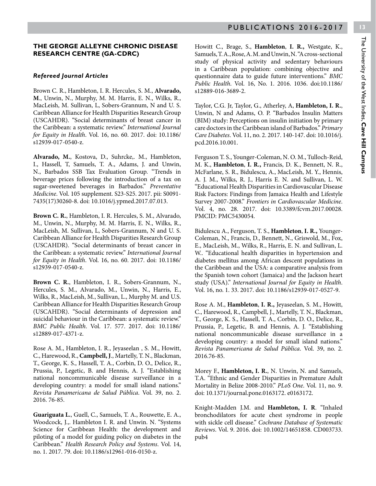### **THE GEORGE ALLEYNE CHRONIC DISEASE**

### *Refereed Journal Articles*

**RESEARCH CENTRE (GA-CDRC)**

Brown C. R., Hambleton, I. R. Hercules, S. M., **Alvarado, M**., Unwin, N., Murphy, M. M. Harris, E. N., Wilks, R., MacLeish, M. Sullivan, L, Sobers-Grannum, N and U. S. Caribbean Alliance for Health Disparities Research Group (USCAHDR). "Social determinants of breast cancer in the Caribbean: a systematic review." *International Journal for Equity in Health*. Vol. 16, no. 60. 2017. doi: 10.1186/ s12939-017-0540-z.

**Alvarado, M.**, Kostova, D., Suhrcke,. M., Hambleton, I., Hassell, T, Samuels, T. A., Adams, J. and Unwin, N., Barbados SSB Tax Evaluation Group. "Trends in beverage prices following the introduction of a tax on sugar-sweetened beverages in Barbados." *Preventative Medicine*. Vol. 105 supplement. S23-S25. 2017. pii: S0091- 7435(17)30260-8. doi: 10.1016/j.ypmed.2017.07.013.

**Brown C. R.**, Hambleton, I. R. Hercules, S. M., Alvarado, M., Unwin, N., Murphy, M. M. Harris, E. N., Wilks, R., MacLeish, M. Sullivan, L, Sobers-Grannum, N and U. S. Caribbean Alliance for Health Disparities Research Group (USCAHDR). "Social determinants of breast cancer in the Caribbean: a systematic review." *International Journal for Equity in Health*. Vol. 16, no. 60. 2017. doi: 10.1186/ s12939-017-0540-z.

**Brown C. R.**, Hambleton, I. R., Sobers-Grannum, N., Hercules, S. M., Alvarado, M., Unwin, N., Harris, E., Wilks, R., MacLeish, M., Sullivan, L., Murphy M. and U.S. Caribbean Alliance for Health Disparities Research Group (USCAHDR). "Social determinants of depression and suicidal behaviour in the Caribbean: a systematic review." *BMC Public Health*. Vol. 17. 577. 2017. doi: 10.1186/ s12889-017-4371-z.

Rose A. M., Hambleton, I. R., Jeyaseelan , S. M., Howitt, C., Harewood, R., **Campbell, J**., Martelly, T. N., Blackman, T., George, K. S., Hassell, T. A., Corbin, D. O., Delice, R., Prussia, P., Legetic, B. and Hennis, A. J. "Establishing national noncommunicable disease surveillance in a developing country: a model for small island nations." *Revista Panamericana de Salud Pública*. Vol. 39, no. 2. 2016. 76-85.

**Guariguata L.**, Guell, C., Samuels, T. A., Rouwette, E. A., Woodcock, J.,. Hambleton I. R. and Unwin. N. "Systems Science for Caribbean Health: the development and piloting of a model for guiding policy on diabetes in the Caribbean." *Health Research Policy and Systems*. Vol. 14, no. 1. 2017. 79. doi: 10.1186/s12961-016-0150-z.

Howitt C., Brage, S., **Hambleton**, **I. R.,** Westgate, K., Samuels, T. A., Rose, A. M. and Unwin, N. "A cross-sectional study of physical activity and sedentary behaviours in a Caribbean population: combining objective and questionnaire data to guide future interventions." *BMC Public Health*. Vol. 16, No. 1. 2016. 1036. doi:10.1186/ s12889-016-3689-2.

Taylor, C.G. Jr, Taylor, G., Atherley, A, **Hambleton, I. R.**, Unwin, N and Adams, O. P. "Barbados Insulin Matters (BIM) study: Perceptions on insulin initiation by primary care doctors in the Caribbean island of Barbados." *Primary Care Diabetes*. Vol. 11, no. 2. 2017. 140-147. doi: 10.1016/j. pcd.2016.10.001.

Ferguson T. S., Younger-Coleman, N. O. M., Tulloch-Reid, M. K., **Hambleton**, **I. R.,** Francis, D. K., Bennett, N. R., McFarlane, S. R., Bidulescu, A., MacLeish, M. Y., Hennis, A. J. M., Wilks, R. J., Harris E. N. and Sullivan, L. W. "Educational Health Disparities in Cardiovascular Disease Risk Factors: Findings from Jamaica Health and Lifestyle Survey 2007-2008." *Frontiers in Cardiovascular Medicine*. Vol. 4, no. 28. 2017. doi: 10.3389/fcvm.2017.00028. PMCID: PMC5430054.

Bidulescu A., Ferguson, T. S., **Hambleton**, **I. R.,** Younger-Coleman, N., Francis, D., Bennett, N., Griswold, M., Fox, E., MacLeish, M., Wilks, R., Harris, E. N. and Sullivan, L. W.. "Educational health disparities in hypertension and diabetes mellitus among African descent populations in the Caribbean and the USA: a comparative analysis from the Spanish town cohort (Jamaica) and the Jackson heart study (USA)." *International Journal for Equity in Health*. Vol. 16, no. 1. 33. 2017. doi: 10.1186/s12939-017-0527-9.

Rose A. M., **Hambleton**, **I. R.,** Jeyaseelan, S. M., Howitt, C., Harewood, R., Campbell, J., Martelly, T. N., Blackman, T., George, K. S., Hassell, T. A., Corbin, D. O., Delice, R., Prussia, P., Legetic, B. and Hennis, A. J. "Establishing national noncommunicable disease surveillance in a developing country: a model for small island nations." *Revista Panamericana de Salud Pública*. Vol. 39, no. 2. 2016.76-85.

Morey F., **Hambleton, I. R.**, N. Unwin, N. and Samuels, T.A. "Ethnic and Gender Disparities in Premature Adult Mortality in Belize 2008-2010." *PLoS One*. Vol. 11, no. 9. doi: 10.1371/journal.pone.0163172. e0163172.

Knight-Madden J.M. and **Hambleton, I. R**. "Inhaled bronchodilators for acute chest syndrome in people with sickle cell disease." *Cochrane Database of Systematic Reviews*. Vol. 9. 2016. doi: 10.1002/14651858. CD003733. pub4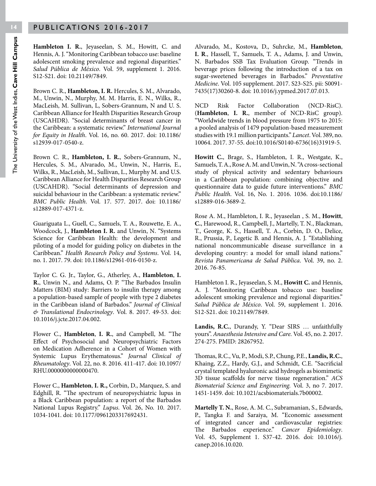**Hambleton I. R.**, Jeyaseelan, S. M., Howitt, C. and Hennis, A. J. "Monitoring Caribbean tobacco use: baseline adolescent smoking prevalence and regional disparities." *Salud Pública de México*. Vol. 59, supplement 1. 2016. S12-S21. doi: 10.21149/7849.

Brown C. R., **Hambleton, I. R.** Hercules, S. M., Alvarado, M., Unwin, N., Murphy, M. M. Harris, E. N., Wilks, R., MacLeish, M. Sullivan, L, Sobers-Grannum, N and U. S. Caribbean Alliance for Health Disparities Research Group (USCAHDR). "Social determinants of breast cancer in the Caribbean: a systematic review." *International Journal for Equity in Health*. Vol. 16, no. 60. 2017. doi: 10.1186/ s12939-017-0540-z.

Brown C. R., **Hambleton, I. R.**, Sobers-Grannum, N., Hercules, S. M., Alvarado, M., Unwin, N., Harris, E., Wilks, R., MacLeish, M., Sullivan, L., Murphy M. and U.S. Caribbean Alliance for Health Disparities Research Group (USCAHDR). "Social determinants of depression and suicidal behaviour in the Caribbean: a systematic review." *BMC Public Health*. Vol. 17. 577. 2017. doi: 10.1186/ s12889-017-4371-z.

Guariguata L., Guell, C., Samuels, T. A., Rouwette, E. A., Woodcock, J., **Hambleton I. R.** and Unwin, N. "Systems Science for Caribbean Health: the development and piloting of a model for guiding policy on diabetes in the Caribbean." *Health Research Policy and Systems*. Vol. 14, no. 1. 2017. 79. doi: 10.1186/s12961-016-0150-z.

Taylor C. G. Jr., Taylor, G., Atherley, A., **Hambleton**, **I. R.**, Unwin N., and Adams, O. P. "The Barbados Insulin Matters (BIM) study: Barriers to insulin therapy among a population-based sample of people with type 2 diabetes in the Caribbean island of Barbados." *Journal of Clinical & Translational Endocrinology*. Vol. 8. 2017. 49-53. doi: 10.1016/j.jcte.2017.04.002.

Flower C., **Hambleton**, **I. R.**, and Campbell, M. "The Effect of Psychosocial and Neuropsychiatric Factors on Medication Adherence in a Cohort of Women with Systemic Lupus Erythematosus." *Journal Clinical of Rheumatology*. Vol. 22, no. 8. 2016. 411-417. doi: 10.1097/ RHU.0000000000000470.

Flower C., **Hambleton**, **I. R.,** Corbin, D., Marquez, S. and Edghill, R. "The spectrum of neuropsychiatric lupus in a Black Caribbean population: a report of the Barbados National Lupus Registry." *Lupus*. Vol. 26, No. 10. 2017. 1034-1041. doi: 10.1177/0961203317692431.

Alvarado, M., Kostova, D., Suhrcke, M., **Hambleton**, **I. R**., Hassell, T., Samuels, T. A., Adams, J. and Unwin, N. Barbados SSB Tax Evaluation Group. "Trends in beverage prices following the introduction of a tax on sugar-sweetened beverages in Barbados." *Preventative Medicine*. Vol. 105 supplement. 2017. S23-S25. pii: S0091- 7435(17)30260-8. doi: 10.1016/j.ypmed.2017.07.013.

NCD Risk Factor Collaboration (NCD-RisC). (**Hambleton**, **I. R.**, member of NCD-RisC group). "Worldwide trends in blood pressure from 1975 to 2015: a pooled analysis of 1479 population-based measurement studies with 19.1 million participants." *Lancet*. Vol. 389, no. 10064. 2017. 37-55. doi:10.1016/S0140-6736(16)31919-5.

**Howitt C.**, Brage, S., Hambleton, I. R., Westgate, K., Samuels, T. A., Rose A. M. and Unwin, N. "A cross-sectional study of physical activity and sedentary behaviours in a Caribbean population: combining objective and questionnaire data to guide future interventions." *BMC Public Health*. Vol. 16, No. 1. 2016. 1036. doi:10.1186/ s12889-016-3689-2.

Rose A. M., Hambleton, I. R., Jeyaseelan , S. M., **Howitt**, **C.**, Harewood, R., Campbell, J., Martelly, T. N., Blackman, T., George, K. S., Hassell, T. A., Corbin, D. O., Delice, R., Prussia, P., Legetic B. and Hennis, A. J. "Establishing national noncommunicable disease surveillance in a developing country: a model for small island nations." *Revista Panamericana de Salud Pública*. Vol. 39, no. 2. 2016. 76-85.

Hambleton I. R., Jeyaseelan, S. M., **Howitt C.** and Hennis, A. J. "Monitoring Caribbean tobacco use: baseline adolescent smoking prevalence and regional disparities." *Salud Pública de México*. Vol. 59, supplement 1. 2016. S12-S21. doi: 10.21149/7849.

**Landis, R.C.**, Durandy, Y. "Dear SIRS … unfaithfully yours". *Anaesthesia Intensive and Care.* Vol. 45, no. 2. 2017. 274-275. PMID: 28267952.

Thomas, R.C., Vu, P., Modi, S.P., Chung, P.E., **Landis, R.C.**, Khaing, Z.Z., Hardy, G.J., and Schmidt, C.E. "Sacrificial crystal templated hyaluronic acid hydrogels as biomimetic 3D tissue scaffolds for nerve tissue regeneration." *ACS Biomaterial Science and Engineering.* Vol. 3, no 7. 2017. 1451-1459. doi: 10.1021/acsbiomaterials.7b00002.

**Martelly T. N.**, Rose, A. M. C., Subramanian, S., Edwards, P., Tangka F. and Saraiya, M. "Economic assessment of integrated cancer and cardiovascular registries: The Barbados experience." *Cancer Epidemiology*. Vol. 45, Supplement 1. S37-42. 2016. doi: 10.1016/j. canep.2016.10.020.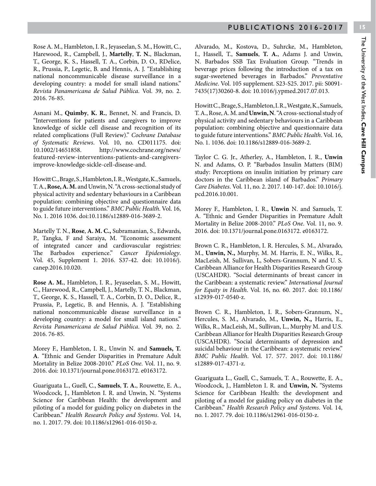Rose A. M., Hambleton, I. R., Jeyaseelan, S. M., Howitt, C., Harewood, R., Campbell, J., **Martelly**, **T. N.**, Blackman, T., George, K. S., Hassell, T. A., Corbin, D. O., RDelice, R., Prussia, P., Legetic, B. and Hennis, A. J. "Establishing national noncommunicable disease surveillance in a developing country: a model for small island nations." *Revista Panamericana de Salud Pública*. Vol. 39, no. 2. 2016. 76-85.

Asnani M., **Quimby**, **K. R.**, Bennet, N. and Francis, D. "Interventions for patients and caregivers to improve knowledge of sickle cell disease and recognition of its related complications (Full Review)." *Cochrane Database of Systematic Reviews*. Vol. 10, no. CD011175. doi: 10.1002/14651858. http://www.cochrane.org/news/ featured-review-interventions-patients-and-caregiversimprove-knowledge-sickle-cell-disease-and.

Howitt C., Brage, S., Hambleton, I. R., Westgate, K., Samuels, T. A., **Rose, A. M.** and Unwin, N. "A cross-sectional study of physical activity and sedentary behaviours in a Caribbean population: combining objective and questionnaire data to guide future interventions." *BMC Public Health*. Vol. 16, No. 1. 2016 1036. doi:10.1186/s12889-016-3689-2.

Martelly T. N., **Rose**, **A. M. C.,** Subramanian, S., Edwards, P., Tangka, F and Saraiya, M. "Economic assessment of integrated cancer and cardiovascular registries: The Barbados experience." *Cancer Epidemiology*. Vol. 45, Supplement 1. 2016. S37-42. doi: 10.1016/j. canep.2016.10.020.

**Rose A. M.**, Hambleton, I. R., Jeyaseelan, S. M., Howitt, C., Harewood, R., Campbell, J., Martelly, T. N., Blackman, T., George, K. S., Hassell, T. A., Corbin, D. O., Delice, R., Prussia, P., Legetic, B. and Hennis, A. J. "Establishing national noncommunicable disease surveillance in a developing country: a model for small island nations." *Revista Panamericana de Salud Pública*. Vol. 39, no. 2. 2016. 76-85.

Morey F., Hambleton, I. R., Unwin N. and **Samuels, T. A**. "Ethnic and Gender Disparities in Premature Adult Mortality in Belize 2008-2010." *PLoS One*. Vol. 11, no. 9. 2016. doi: 10.1371/journal.pone.0163172. e0163172.

Guariguata L., Guell, C., **Samuels**, **T. A.**, Rouwette, E. A., Woodcock, J., Hambleton I. R. and Unwin, N. "Systems Science for Caribbean Health: the development and piloting of a model for guiding policy on diabetes in the Caribbean." *Health Research Policy and Systems*. Vol. 14, no. 1. 2017. 79. doi: 10.1186/s12961-016-0150-z.

Alvarado, M., Kostova, D., Suhrcke, M., Hambleton, I., Hassell, T., **Samuels**, **T. A.**, Adams J. and Unwin, N. Barbados SSB Tax Evaluation Group. "Trends in beverage prices following the introduction of a tax on sugar-sweetened beverages in Barbados." *Preventative Medicine*. Vol. 105 supplement. S23-S25. 2017. pii: S0091- 7435(17)30260-8. doi: 10.1016/j.ypmed.2017.07.013.

Howitt C., Brage, S., Hambleton, I. R., Westgate, K., Samuels, T. A., Rose, A. M. and **Unwin, N**. "A cross-sectional study of physical activity and sedentary behaviours in a Caribbean population: combining objective and questionnaire data to guide future interventions." *BMC Public Health*. Vol. 16, No. 1. 1036. doi: 10.1186/s12889-016-3689-2.

Taylor C. G. Jr., Atherley, A., Hambleton, I. R., **Unwin** N. and Adams, O. P. "Barbados Insulin Matters (BIM) study: Perceptions on insulin initiation by primary care doctors in the Caribbean island of Barbados." *Primary Care Diabetes*. Vol. 11, no. 2. 2017. 140-147. doi: 10.1016/j. pcd.2016.10.001.

Morey F., Hambleton, I. R., **Unwin** N. and Samuels, T. A. "Ethnic and Gender Disparities in Premature Adult Mortality in Belize 2008-2010." *PLoS One*. Vol. 11, no. 9. 2016. doi: 10.1371/journal.pone.0163172. e0163172.

Brown C. R., Hambleton, I. R. Hercules, S. M., Alvarado, M., **Unwin, N.,** Murphy, M. M. Harris, E. N., Wilks, R., MacLeish, M. Sullivan, L, Sobers-Grannum, N and U. S. Caribbean Alliance for Health Disparities Research Group (USCAHDR). "Social determinants of breast cancer in the Caribbean: a systematic review." *International Journal for Equity in Health*. Vol. 16, no. 60. 2017. doi: 10.1186/ s12939-017-0540-z.

Brown C. R., Hambleton, I. R., Sobers-Grannum, N., Hercules, S. M., Alvarado, M., **Unwin, N.,** Harris, E., Wilks, R., MacLeish, M., Sullivan, L., Murphy M. and U.S. Caribbean Alliance for Health Disparities Research Group (USCAHDR). "Social determinants of depression and suicidal behaviour in the Caribbean: a systematic review." *BMC Public Health*. Vol. 17. 577. 2017. doi: 10.1186/ s12889-017-4371-z.

Guariguata L., Guell, C., Samuels, T. A., Rouwette, E. A., Woodcock, J., Hambleton I. R. and **Unwin, N.** "Systems Science for Caribbean Health: the development and piloting of a model for guiding policy on diabetes in the Caribbean." *Health Research Policy and Systems*. Vol. 14, no. 1. 2017. 79. doi: 10.1186/s12961-016-0150-z.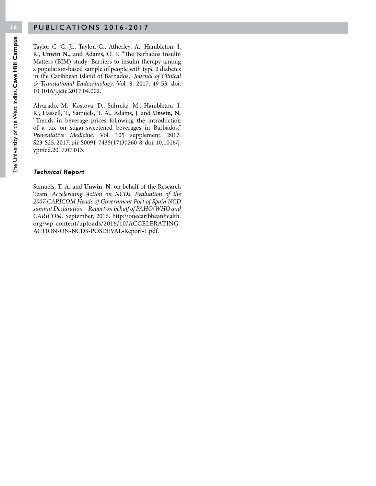Taylor C. G. Jr., Taylor, G., Atherley, A., Hambleton, I. R., **Unwin N.,** and Adams, O. P. "The Barbados Insulin Matters (BIM) study: Barriers to insulin therapy among a population-based sample of people with type 2 diabetes in the Caribbean island of Barbados." *Journal of Clinical & Translational Endocrinology*. Vol. 8. 2017. 49-53. doi: 10.1016/j.jcte.2017.04.002.

Alvarado, M., Kostova, D., Suhrcke, M., Hambleton, I. R., Hassell, T., Samuels, T. A., Adams, J. and **Unwin, N.** "Trends in beverage prices following the introduction of a tax on sugar-sweetened beverages in Barbados." *Preventative Medicine*. Vol. 105 supplement. 2017. S23-S25. 2017. pii: S0091-7435(17)30260-8. doi: 10.1016/j. ypmed.2017.07.013.

#### *Technical Report*

Samuels, T. A. and **Unwin**, **N**. on behalf of the Research Team. *Accelerating Action on NCDs: Evaluation of the 2007 CARICOM Heads of Government Port of Spain NCD summit Declaration* – *Report on behalf of PAHO/WHO and CARICOM*. September, 2016. http://onecaribbeanhealth. org/wp-content/uploads/2016/10/ACCELERATING-ACTION-ON-NCDS-POSDEVAL-Report-1.pdf.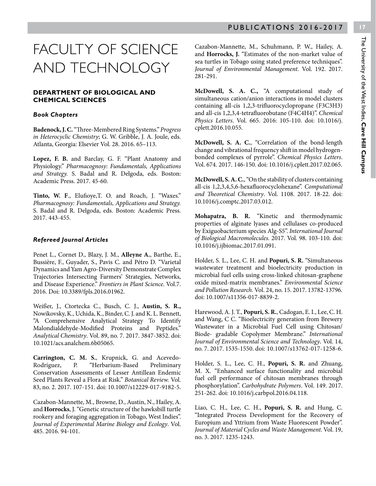## FACULTY OF SCIENCE AND TECHNOLOGY

#### **DEPARTMENT OF BIOLOGICAL AND CHEMICAL SCIENCES**

#### *Book Chapters*

**Badenock, J. C.** "Three-Membered Ring Systems." *Progress in Heterocyclic Chemistry*; G. W. Gribble, J. A. Joule, eds. Atlanta, Georgia: Elsevier Vol. 28. 2016. 65–113.

**Lopez, F. B.** and Barclay, G. F. "Plant Anatomy and Physiology." *Pharmacognosy: Fundamentals, Applications and Strategy.* S. Badal and R. Delgoda, eds. Boston: Academic Press. 2017. 45-60.

**Tinto, W. F**., Elufioye,T. O. and Roach, J. "Waxes." *Pharmacognosy: Fundamentals, Applications and Strategy.*  S. Badal and R. Delgoda, eds. Boston: Academic Press. 2017. 443-455.

#### *Refereed Journal Articles*

Penet L., Cornet D., Blazy, J. M., **Alleyne A.**, Barthe, E., Bussière, F., Guyader, S., Pavis C. and Pétro D. "Varietal Dynamics and Yam Agro-Diversity Demonstrate Complex Trajectories Intersecting Farmers' Strategies, Networks, and Disease Experience." *Frontiers in Plant Science*. Vol.7. 2016. Doi: 10.3389/fpls.2016.01962.

Weißer, J., Ctortecka C., Busch, C. J., **Austin, S. R.,**  Nowikovsky, K., Uchida, K., Binder, C. J. and K. L. Bennett, "A Comprehensive Analytical Strategy To Identify Malondialdehyde-Modified Proteins and Peptides." *Analytical Chemistry*. Vol. 89, no. 7. 2017. 3847-3852. doi: 10.1021/acs.analchem.6b05065.

**Carrington, C. M. S.**, Krupnick, G. and Acevedo-Rodríguez, P. "Herbarium-Based Preliminary Conservation Assessments of Lesser Antillean Endemic Seed Plants Reveal a Flora at Risk." *Botanical Review.* Vol. 83, no. 2. 2017. 107-151. doi: 10.1007/s12229-017-9182-5.

Cazabon-Mannette, M., Browne, D., Austin, N., Hailey, A. and **Horrocks**, J. "Genetic structure of the hawksbill turtle rookery and foraging aggregation in Tobago, West Indies". *Journal of Experimental Marine Biology and Ecology*. Vol. 485. 2016. 94-101.

Cazabon-Mannette, M., Schuhmann, P. W., Hailey, A. and **Horrocks, J.** "Estimates of the non-market value of sea turtles in Tobago using stated preference techniques". *Journal of Environmental Management*. Vol. 192. 2017. 281-291.

**McDowell, S. A. C.,** "A computational study of simultaneous cation/anion interactions in model clusters containing all-cis 1,2,3-trifluorocyclopropane (F3C3H3) and all-cis 1,2,3,4-tetrafluorobutane (F4C4H4)". *Chemical Physics Letters*. Vol. 665. 2016: 105-110. doi: 10.1016/j. cplett.2016.10.055.

**McDowell, S. A. C.**, "Correlation of the bond-length change and vibrational frequency shift in model hydrogenbonded complexes of pyrrole". *Chemical Physics Letters*. Vol. 674. 2017. 146-150. doi: 10.1016/j.cplett.2017.02.065.

**McDowell, S. A. C.**, "On the stability of clusters containing all-cis 1,2,3,4,5,6-hexafluorocyclohexane". *Computational and Theoretical Chemistry*. Vol. 1108. 2017. 18-22. doi: 10.1016/j.comptc.2017.03.012.

**Mohapatra, B. R.** "Kinetic and thermodynamic properties of alginate lyases and cellulases co-produced by Exiguobacterium species Alg-S5". *International Journal of Biological Macromolecules.* 2017. Vol. 98. 103-110. doi: 10.1016/j.ijbiomac.2017.01.091.

Holder, S. L., Lee, C. H. and **Popuri, S. R.** "Simultaneous wastewater treatment and bioelectricity production in microbial fuel cells using cross-linked chitosan-graphene oxide mixed-matrix membranes." *Environmental Science and Pollution Research.* Vol. 24, no. 15. 2017. 13782-13796. doi: 10.1007/s11356-017-8839-2.

Harewood, A. J. T., **Popuri, S. R.**, Cadogan, E. I., Lee, C. H. and Wang, C C. "Bioelectricity generation from Brewery Wastewater in a Microbial Fuel Cell using Chitosan/ Biode- gradable Copolymer Membrane." *International Journal of Environmental Science and Technology*. Vol. 14, no. 7. 2017. 1535-1550. doi: 10.1007/s13762-017-1258-6.

Holder, S. L., Lee, C. H., **Popuri, S. R.** and Zhuang, M. X. "Enhanced surface functionality and microbial fuel cell performance of chitosan membranes through phosphorylation". *Carbohydrate Polymers*. Vol. 149. 2017. 251-262. doi: 10.1016/j.carbpol.2016.04.118.

Liao, C. H., Lee, C. H., **Popuri, S. R.** and Hung, C. "Integrated Process Development for the Recovery of Europium and Yttrium from Waste Fluorescent Powder". *Journal of Material Cycles and Waste Management*. Vol. 19, no. 3. 2017. 1235-1243.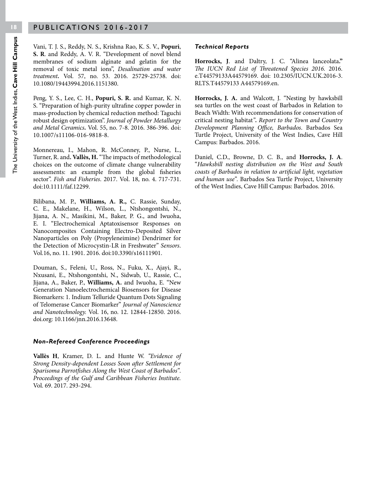Vani, T. J. S., Reddy, N. S., Krishna Rao, K. S. V., **Popuri**, **S. R**. and Reddy, A. V. R. "Development of novel blend membranes of sodium alginate and gelatin for the removal of toxic metal ions", *Desalination and water treatment.* Vol. 57, no. 53. 2016. 25729-25738. doi: 10.1080/19443994.2016.1151380.

Peng, Y. S., Lee, C. H., **Popuri, S. R.** and Kumar, K. N. S. "Preparation of high-purity ultrafine copper powder in mass-production by chemical reduction method: Taguchi robust design optimization". *Journal of Powder Metallurgy and Metal Ceramics.* Vol. 55, no. 7-8. 2016. 386-396. doi: 10.1007/s11106-016-9818-8.

Monnereau, I., Mahon, R. McConney, P., Nurse, L., Turner, R. and**. Vallès, H.** "The impacts of methodological choices on the outcome of climate change vulnerability assessments: an example from the global fisheries sector". *Fish and Fisheries*. 2017. Vol. 18, no. 4. 717-731. doi:10.1111/faf.12299.

Bilibana, M. P., **Williams, A. R.,** C. Rassie, Sunday, C. E., Makelane, H., Wilson, L., Ntshongontshi, N., Jijana, A. N., Masikini, M., Baker, P. G., and Iwuoha, E. I. "Electrochemical Aptatoxisensor Responses on Nanocomposites Containing Electro-Deposited Silver Nanoparticles on Poly (Propyleneimine) Dendrimer for the Detection of Microcystin-LR in Freshwater" *Sensors*. Vol.16, no. 11. 1901. 2016. doi:10.3390/s16111901.

Douman, S., Feleni, U., Ross, N., Fuku, X., Ajayi, R., Nxusani, E., Ntshongontshi, N., Sidwab, U., Rassie, C., Jijana, A., Baker, P., **Williams, A.** and Iwuoha, E. "New Generation Nanoelectrochemical Biosensors for Disease Biomarkers: 1. Indium Telluride Quantum Dots Signaling of Telomerase Cancer Biomarker" *Journal of Nanoscience and Nanotechnology.* Vol. 16, no. 12. 12844-12850. 2016. doi.org: 10.1166/jnn.2016.13648.

#### *Non-Refereed Conference Proceedings*

**Vallès H**, Kramer, D. L. and Hunte W. *"Evidence of Strong Density-dependent Losses Soon after Settlement for Sparisoma Parrotfishes Along the West Coast of Barbados"*. *Proceedings of the Gulf and Caribbean Fisheries Institute.* Vol. 69. 2017. 293-294.

#### *Technical Reports*

**Horrocks, J**. and Daltry, J. C. "Alinea lanceolata**."** *The IUCN Red List of Threatened Species 2016.* 2016. e.T44579133A44579169. doi: 10.2305/IUCN.UK.2016-3. RLTS.T44579133 A44579169.en.

**Horrocks, J. A.** and Walcott, J. "Nesting by hawksbill sea turtles on the west coast of Barbados in Relation to Beach Width: With recommendations for conservation of critical nesting habitat*". Report to the Town and Country Development Planning Office, Barbados*. Barbados Sea Turtle Project, University of the West Indies, Cave Hill Campus: Barbados. 2016.

Daniel, C.D., Browne, D. C. B., and **Horrocks, J. A**. "*Hawksbill nesting distribution on the West and South coasts of Barbados in relation to artificial light, vegetation and human use".* Barbados Sea Turtle Project, University of the West Indies, Cave Hill Campus: Barbados. 2016.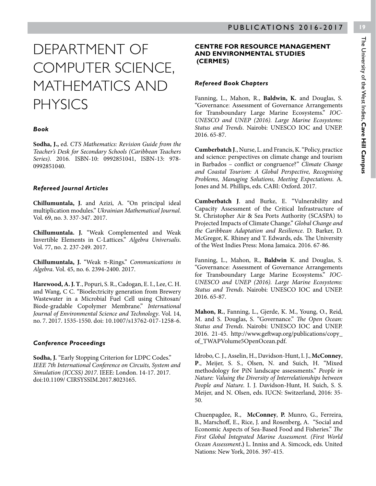## DEPARTMENT OF COMPUTER SCIENCE, MATHEMATICS AND PHYSICS

#### *Book*

**Sodha, J.,** ed. *CTS Mathematics: Revision Guide from the Teacher's Desk for Secondary Schools (Caribbean Teachers Series).* 2016*.* ISBN-10: 0992851041, ISBN-13: 978- 0992851040.

#### *Refereed Journal Articles*

**Chillumuntala, J.** and Azizi, A. "On principal ideal multiplication modules." *Ukrainian Mathematical Journal*. Vol. 69, no. 3. 337-347. 2017.

**Chillumuntala. J.** "Weak Complemented and Weak Invertible Elements in C-Lattices." *Algebra Universalis*. Vol. 77, no. 2. 237-249. 2017.

**Chillumuntala, J.** "Weak π-Rings." *Communications in Algebra*. Vol. 45, no. 6. 2394-2400. 2017.

**Harewood, A. J. T**., Popuri, S. R., Cadogan, E. I., Lee, C. H. and Wang, C C. "Bioelectricity generation from Brewery Wastewater in a Microbial Fuel Cell using Chitosan/ Biode-gradable Copolymer Membrane." *International Journal of Environmental Science and Technology*. Vol. 14, no. 7. 2017. 1535-1550. doi: 10.1007/s13762-017-1258-6.

#### *Conference Proceedings*

**Sodha, J.** "Early Stopping Criterion for LDPC Codes." *IEEE 7th International Conference on Circuits, System and Simulation (ICCSS) 2017*. IEEE: London. 14-17. 2017. doi:10.1109/ CIRSYSSIM.2017.8023165.

#### **CENTRE FOR RESOURCE MANAGEMENT AND ENVIRONMENTAL STUDIES (CERMES)**

#### *Refereed Book Chapters*

Fanning, L., Mahon, R., **Baldwin, K.** and Douglas, S. "Governance: Assessment of Governance Arrangements for Transboundary Large Marine Ecosystems." *IOC-UNESCO and UNEP (2016). Large Marine Ecosystems: Status and Trends*. Nairobi: UNESCO IOC and UNEP. 2016. 65-87.

**Cumberbatch J**., Nurse, L. and Francis, K. "Policy, practice and science: perspectives on climate change and tourism in Barbados – conflict or congruence?" *Climate Change and Coastal Tourism: A Global Perspective, Recognising Problems, Managing Solutions, Meeting Expectations.* A. Jones and M. Phillips, eds. CABI: Oxford. 2017.

**Cumberbatch J**. and Burke, E. "Vulnerability and Capacity Assessment of the Critical Infrastructure of St. Christopher Air & Sea Ports Authority (SCASPA) to Projected Impacts of Climate Change." *Global Change and the Caribbean Adaptation and Resilience*. D. Barker, D. McGregor, K. Rhiney and T. Edwards, eds. The University of the West Indies Press: Mona Jamaica. 2016. 67-86.

Fanning, L., Mahon, R., **Baldwin** K. and Douglas, S. "Governance: Assessment of Governance Arrangements for Transboundary Large Marine Ecosystems." *IOC-UNESCO and UNEP (2016). Large Marine Ecosystems: Status and Trends*. Nairobi: UNESCO IOC and UNEP. 2016. 65-87.

**Mahon, R.**, Fanning, L., Gjerde, K. M., Young, O., Reid, M. and S. Douglas, S. "Governance." *The Open Ocean: Status and Trends*. Nairobi: UNESCO IOC and UNEP. 2016. 21-45. http://www.geftwap.org/publications/copy\_ of\_TWAPVolume5OpenOcean.pdf.

Idrobo, C. J., Asselin, H., Davidson-Hunt, I. J., **McConney**, **P**., Meijer, S. S., Olsen, N. and Suich, H. "Mixed methodology for PiN landscape assessments." *People in Nature: Valuing the Diversity of Interrelationships between People and Nature.* I. J. Davidson-Hunt, H. Suich, S. S. Meijer, and N. Olsen, eds. IUCN: Switzerland, 2016: 35- 50.

Chuenpagdee, R., **McConney**, **P.** Munro, G., Ferreira, B., Marschoff, E., Rice, J. and Rosenberg, A. "Social and Economic Aspects of Sea-Based Food and Fisheries." *The First Global Integrated Marine Assessment. (First World Ocean Assessment***.)** L. Inniss and A. Simcock, eds. United Nations: New York, 2016. 397-415.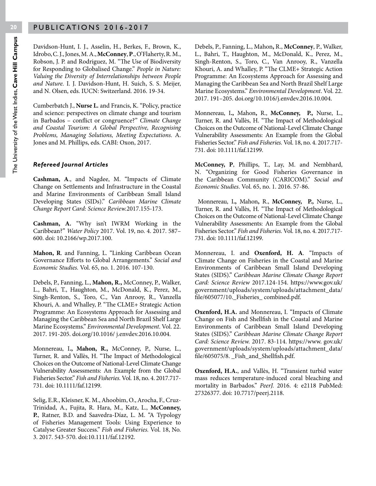Davidson-Hunt, I. J., Asselin, H., Berkes, F., Brown, K., Idrobo, C. J., Jones, M. A., **McConney**, **P**., O'Flaherty, R. M., Robson, J. P. and Rodriguez, M. "The Use of Biodiversity for Responding to Globalised Change." *People in Nature: Valuing the Diversity of Interrelationships between People and Nature.* I. J. Davidson-Hunt, H. Suich, S. S. Meijer, and N. Olsen, eds. IUCN: Switzerland. 2016. 19-34.

Cumberbatch J., **Nurse L.** and Francis, K. "Policy, practice and science: perspectives on climate change and tourism in Barbados – conflict or congruence?" *Climate Change and Coastal Tourism: A Global Perspective, Recognising Problems, Managing Solutions, Meeting Expectations.* A. Jones and M. Phillips, eds. CABI: Oxon, 2017.

#### *Refereed Journal Articles*

**Cashman, A**., and Nagdee, M. "Impacts of Climate Change on Settlements and Infrastructure in the Coastal and Marine Environments of Caribbean Small Island Developing States (SIDs)." *Caribbean Marine Climate Change Report Card: Science Review.*2017.155-173.

**Cashman, A.** "Why isn't IWRM Working in the Caribbean?" *Water Policy* 2017. Vol. 19, no. 4. 2017. 587– 600. doi: 10.2166/wp.2017.100.

**Mahon, R**. and Fanning, L. "Linking Caribbean Ocean Governance Efforts to Global Arrangements." *Social and Economic Studies.* Vol. 65, no. 1. 2016. 107-130.

Debels, P., Fanning, L., **Mahon, R.,** McConney, P., Walker, L., Bahri, T., Haughton, M., McDonald, K., Perez, M., Singh-Renton, S., Toro, C., Van Anrooy, R., Vanzella Khouri, A. and Whalley, P. "The CLME+ Strategic Action Programme: An Ecosystems Approach for Assessing and Managing the Caribbean Sea and North Brazil Shelf Large Marine Ecosystems." *Environmental Development*. Vol. 22. 2017. 191-205. doi.org/10.1016/ j.envdev.2016.10.004.

Monnereau, I**., Mahon, R.,** McConney, P., Nurse, L., Turner, R. and Vallès, H. "The Impact of Methodological Choices on the Outcome of National-Level Climate Change Vulnerability Assessments: An Example from the Global Fisheries Sector." *Fish and Fisheries.* Vol. 18, no. 4. 2017.717- 731. doi: 10.1111/faf.12199.

Selig, E.R., Kleisner, K. M., Ahoobim, O., Arocha, F., Cruz-Trinidad, A., Fujita, R. Hara, M., Katz, L., **McConney, P.**, Ratner, B.D. and Saavedra-Díaz, L. M. "A Typology of Fisheries Management Tools: Using Experience to Catalyse Greater Success." *Fish and Fisheries.* Vol. 18, No. 3. 2017. 543-570. doi:10.1111/faf.12192.

Debels, P., Fanning, L., Mahon**,** R., **McConney**, P., Walker, L., Bahri, T., Haughton, M., McDonald, K., Perez, M., Singh-Renton, S., Toro, C., Van Anrooy, R., Vanzella Khouri, A. and Whalley, P. "The CLME+ Strategic Action Programme: An Ecosystems Approach for Assessing and Managing the Caribbean Sea and North Brazil Shelf Large Marine Ecosystems." *Environmental Development*. Vol. 22. 2017. 191–205. doi.org/10.1016/j.envdev.2016.10.004.

Monnereau, I**.,** Mahon**,** R., **McConney, P.,** Nurse, L., Turner, R. and Vallès, H. "The Impact of Methodological Choices on the Outcome of National-Level Climate Change Vulnerability Assessments: An Example from the Global Fisheries Sector." *Fish and Fisheries.* Vol. 18, no. 4. 2017.717- 731. doi: 10.1111/faf.12199.

**McConney, P**, Phillips, T., Lay, M. and Nembhard, N. "Organizing for Good Fisheries Governance in the Caribbean Community (CARICOM)." *Social and Economic Studies*. Vol. 65, no. 1. 2016. 57-86.

 Monnereau, I**.,** Mahon**,** R., **McConney, P.,** Nurse, L., Turner, R. and Vallès, H. "The Impact of Methodological Choices on the Outcome of National-Level Climate Change Vulnerability Assessments: An Example from the Global Fisheries Sector." *Fish and Fisheries.* Vol. 18, no. 4. 2017.717- 731. doi: 10.1111/faf.12199.

Monnereau, I. and **Oxenford, H. A**. "Impacts of Climate Change on Fisheries in the Coastal and Marine Environments of Caribbean Small Island Developing States (SIDS)." *Caribbean Marine Climate Change Report Card: Science Review* 2017.124-154. https://www.gov.uk/ government/uploads/system/uploads/attachment\_data/ file/605077/10.\_Fisheries\_ combined.pdf.

**Oxenford, H.A.** and Monnereau, I. "Impacts of Climate Change on Fish and Shellfish in the Coastal and Marine Environments of Caribbean Small Island Developing States (SIDS)." *Caribbean Marine Climate Change Report Card: Science Review.* 2017. 83-114. https://www. gov.uk/ government/uploads/system/uploads/attachment\_data/ file/605075/8. \_Fish\_and\_Shellfish.pdf.

**Oxenford, H.A.**, and Vallès, H. "Transient turbid water mass reduces temperature-induced coral bleaching and mortality in Barbados." *PeerJ.* 2016. 4: e2118 PubMed: 27326377. doi: 10.7717/peerj.2118.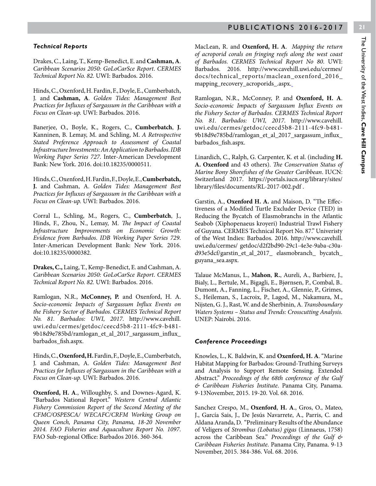#### *Technical Reports*

Drakes, C., Laing, T., Kemp-Benedict, E. and **Cashman, A**. *Caribbean Scenarios 2050: GoLoCarSce Report*. *CERMES Technical Report No. 82.* UWI: Barbados. 2016.

Hinds, C., Oxenford, H. Fardin, F., Doyle, E., Cumberbatch, J. and **Cashman, A**. *Golden Tides: Management Best Practices for Influxes of Sargassum in the Caribbean with a Focus on Clean-up.* UWI: Barbados. 2016.

Banerjee, O., Boyle, K., Rogers, C., **Cumberbatch**, **J.** Kanninen, B. Lemay, M. and Schling, M. *A Retrospective Stated Preference Approach to Assessment of Coastal Infrastructure Investments: An Application to Barbados*. *IDB Working Paper Series 727*. Inter-American Development Bank: New York. 2016. doi:10.18235/0000511.

Hinds, C., Oxenford, H. Fardin, F., Doyle, E., **Cumberbatch, J.** and Cashman, A. *Golden Tides: Management Best Practices for Influxes of Sargassum in the Caribbean with a Focus on Clean-up.* UWI: Barbados. 2016.

Corral L., Schling, M., Rogers, C., **Cumberbatch**, J., Hinds, F., Zhou, N., Lemay, M. *The Impact of Coastal Infrastructure Improvements on Economic Growth: Evidence from Barbados*. *IDB Working Paper Series 729*. Inter-American Development Bank: New York. 2016. doi:10.18235/0000382.

Drakes, C., Laing, T., Kemp-Benedict, E. and Cashman, A. *Caribbean Scenarios 2050: GoLoCarSce Report*. *CERMES Technical Report No. 82.* UWI: Barbados. 2016.

Ramlogan, N.R., **McConney, P.** and Oxenford, H. A. *Socio-economic Impacts of Sargassum Influx Events on the Fishery Sector of Barbados. CERMES Technical Report No. 81. Barbados: UWI, 2017*. http://www.cavehill. uwi.edu/cermes/getdoc/ceecd5b8-2111-4fc9-b481- 9b18d9e785bd/ramlogan\_et\_al\_2017\_sargassum\_influx\_ barbados\_fish.aspx.

Hinds, C., **Oxenford, H.** Fardin, F., Doyle, E., Cumberbatch, J. and Cashman, A. *Golden Tides: Management Best Practices for Influxes of Sargassum in the Caribbean with a Focus on Clean-up.* UWI: Barbados. 2016.

**Oxenford, H. A**., Willoughby, S. and Downes-Agard, K. "Barbados National Report." *Western Central Atlantic Fishery Commission Report of the Second Meeting of the CFMC/OSPESCA/ WECAFC/CRFM Working Group on Queen Conch, Panama City, Panama, 18-20 November 2014. FAO Fisheries and Aquaculture Report No. 1097*. FAO Sub-regional Office: Barbados 2016. 360-364.

MacLean, R. and **Oxenford, H. A**. *Mapping the return of acroporid corals on fringing reefs along the west coast of Barbados. CERMES Technical Report No 80*. UWI: Barbados. 2016. http://www.cavehill.uwi.edu/cermes/ docs/technical\_reports/maclean\_oxenford\_2016\_ mapping\_recovery\_acroporids\_.aspx.

Ramlogan, N.R., McConney, P. and **Oxenford, H. A**. *Socio-economic Impacts of Sargassum Influx Events on the Fishery Sector of Barbados. CERMES Technical Report No. 81. Barbados: UWI, 2017*. http://www.cavehill. uwi.edu/cermes/getdoc/ceecd5b8-2111-4fc9-b481- 9b18d9e785bd/ramlogan\_et\_al\_2017\_sargassum\_influx\_ barbados\_fish.aspx.

Linardich, C., Ralph, G. Carpenter, K. et al. (including **H. A. Oxenford** and 43 others). *The Conservation Status of Marine Bony Shorefishes of the Greater Caribbean*. IUCN: Switzerland 2017. https://portals.iucn.org/library/sites/ library/files/documents/RL-2017-002.pdf .

Garstin, A., **Oxenford H. A.** and Maison, D. "The Effectiveness of a Modified Turtle Excluder Device (TED) in Reducing the Bycatch of Elasmobranchs in the Atlantic Seabob (Xiphopenaeus kroyeri) Industrial Trawl Fishery of Guyana. CERMES Technical Report No. 87." Univeristy of the West Indies: Barbados. 2016. http://www.cavehill. uwi.edu/cermes/ getdoc/d2f2bd90-29c1-4e3e-9aba-c30ad93e5dcf/garstin\_et\_al\_2017\_ elasmobranch\_ bycatch\_ guyana\_sea.aspx.

Talaue McManus, L., **Mahon**, **R.**, Aureli, A., Barbiere, J., Bialy, L., Bertule, M., Bigagli, E., Bjørnsen, P., Combal, B.. Dumont, A., Fanning, L., Fischer, A., Glennie, P., Grimes, S., Heileman, S., Lacroix, P., Lagod, M., Nakamura, M., Nijsten, G. J., Rast, W. and de Sherbinin, A. *Transboundary Waters Systems – Status and Trends: Crosscutting Analysis.* UNEP: Nairobi. 2016.

#### *Conference Proceedings*

Knowles, L., K. Baldwin, K. and **Oxenford, H. A**. "Marine Habitat Mapping for Barbados: Ground-Truthing Surveys and Analysis to Support Remote Sensing. Extended Abstract." *Proceedings of the 68th conference of the Gulf & Caribbean Fisheries Institute*. Panama City, Panama. 9-13November, 2015. 19-20. Vol. 68. 2016.

Sanchez Crespo, M., **Oxenford**, **H. A**., Gros, O., Mateo, J., García Sais, J., De Jesús Navarrete, A., Parris, C. and Aldana Aranda, D. "Preliminary Results of the Abundance of Veligers of *Strombus (Lobatus) gigas* (Linnaeus, 1758) across the Caribbean Sea." *Proceedings of the Gulf & Caribbean Fisheries Institute*. Panama City, Panama. 9-13 November, 2015. 384-386. Vol. 68. 2016.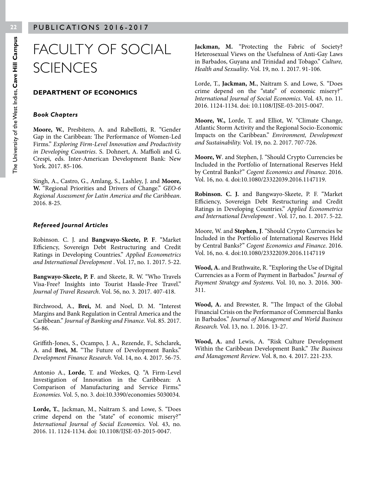#### **DEPARTMENT OF ECONOMICS**

#### *Book Chapters*

**Moore, W.**, Presbitero, A. and Rabellotti, R. "Gender Gap in the Caribbean: The Performance of Women-Led Firms." *Exploring Firm-Level Innovation and Productivity in Developing Countries*. S. Dohnert, A. Maffioli and G. Crespi, eds. Inter-American Development Bank: New York. 2017. 85-106.

Singh, A., Castro, G., Amlang, S., Lashley, J. and **Moore, W.** "Regional Priorities and Drivers of Change." *GEO-6 Regional Assessment for Latin America and the Caribbean*. 2016. 8-25.

#### *Refereed Journal Articles*

Robinson. C. J. and **Bangwayo-Skeete, P. F**. "Market Efficiency, Sovereign Debt Restructuring and Credit Ratings in Developing Countries." *Applied Econometrics and International Development* . Vol. 17, no. 1. 2017. 5-22.

**Bangwayo-Skeete, P. F**. and Skeete, R. W. "Who Travels Visa-Free? Insights into Tourist Hassle-Free Travel." *Journal of Travel Research*. Vol. 56, no. 3. 2017. 407-418.

Birchwood, A., **Brei,** M. and Noel, D. M. "Interest Margins and Bank Regulation in Central America and the Caribbean." *Journal of Banking and Finance*. Vol. 85. 2017. 56-86.

Griffith-Jones, S., Ocampo, J. A., Rezende, F., Schclarek, A. and **Brei, M.** "The Future of Development Banks." *Development Finance Research*. Vol. 14, no. 4. 2017. 56-75.

Antonio A., **Lorde**, T. and Weekes, Q. "A Firm-Level Investigation of Innovation in the Caribbean: A Comparison of Manufacturing and Service Firms." *Economies*. Vol. 5, no. 3. doi:10.3390/economies 5030034.

**Lorde, T.**, Jackman, M., Naitram S. and Lowe, S. "Does crime depend on the "state" of economic misery?" *International Journal of Social Economics*. Vol. 43, no. 2016. 11. 1124-1134. doi: 10.1108/IJSE-03-2015-0047.

Jackman, M. "Protecting the Fabric of Society? Heterosexual Views on the Usefulness of Anti-Gay Laws in Barbados, Guyana and Trinidad and Tobago." *Culture, Health and Sexuality*. Vol. 19, no. 1. 2017. 91-106.

Lorde, T., **Jackman, M.**, Naitram S. and Lowe, S. "Does crime depend on the "state" of economic misery?" *International Journal of Social Economics*. Vol. 43, no. 11. 2016. 1124-1134. doi: 10.1108/IJSE-03-2015-0047.

**Moore, W.,** Lorde, T. and Elliot, W. "Climate Change, Atlantic Storm Activity and the Regional Socio-Economic Impacts on the Caribbean." *Environment, Development and Sustainability.* Vol. 19, no. 2. 2017. 707-726.

**Moore, W**. and Stephen, J. "Should Crypto Currencies be Included in the Portfolio of International Reserves Held by Central Banks?" *Cogent Economics and Finance*. 2016. Vol. 16, no. 4. doi:10.1080/23322039.2016.1147119.

**Robinson. C. J.** and Bangwayo-Skeete, P. F. "Market Efficiency, Sovereign Debt Restructuring and Credit Ratings in Developing Countries." *Applied Econometrics and International Development* . Vol. 17, no. 1. 2017. 5-22.

Moore, W. and **Stephen, J**. "Should Crypto Currencies be Included in the Portfolio of International Reserves Held by Central Banks?" *Cogent Economics and Finance*. 2016. Vol. 16, no. 4. doi:10.1080/23322039.2016.1147119

**Wood, A.** and Brathwaite, R. "Exploring the Use of Digital Currencies as a Form of Payment in Barbados." *Journal of Payment Strategy and Systems*. Vol. 10, no. 3. 2016. 300- 311.

**Wood, A.** and Brewster, R. "The Impact of the Global Financial Crisis on the Performance of Commercial Banks in Barbados." *Journal of Management and World Business Research.* Vol. 13, no. 1. 2016. 13-27.

**Wood, A.** and Lewis, A. "Risk Culture Development Within the Caribbean Development Bank." *The Business and Management Review*. Vol. 8, no. 4. 2017. 221-233.

The University of the West Indies, **Cave Hill Campus**

The University of the West Indies, Cave Hill Campus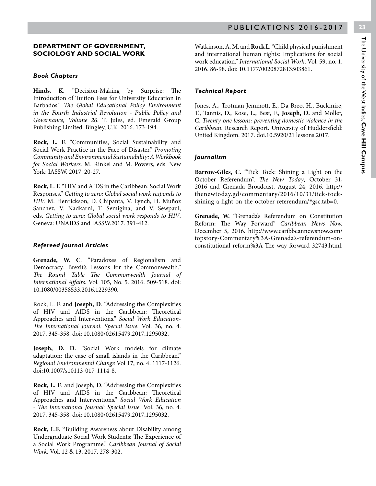#### **DEPARTMENT OF GOVERNMENT, SOCIOLOGY AND SOCIAL WORK**

#### *Book Chapters*

**Hinds, K.** "Decision-Making by Surprise: The Introduction of Tuition Fees for University Education in Barbados." *The Global Educational Policy Environment in the Fourth Industrial Revolution - Public Policy and Governance, Volume 26*. T. Jules, ed. Emerald Group Publishing Limited: Bingley, U.K. 2016. 173-194.

**Rock, L. F.** "Communities, Social Sustainability and Social Work Practice in the Face of Disaster." *Promoting Community and Environmental Sustainability: A Workbook for Social Workers*. M. Rinkel and M. Powers, eds. New York: IASSW. 2017. 20-27.

**Rock, L. F. "**HIV and AIDS in the Caribbean: Social Work Responses." *Getting to zero: Global social work responds to HIV.* M. Henrickson, D. Chipanta, V. Lynch, H. Muñoz Sanchez, V. Nadkarni, T. Semigina, and V. Sewpaul, eds. *Getting to zero: Global social work responds to HIV*. Geneva: UNAIDS and IASSW.2017. 391-412.

#### *Refereed Journal Articles*

**Grenade, W. C**. "Paradoxes of Regionalism and Democracy: Brexit's Lessons for the Commonwealth." *The Round Table The Commonwealth Journal of International Affairs.* Vol. 105, No. 5. 2016. 509-518. doi: 10.1080/00358533.2016.1229390.

Rock, L. F. and **Joseph, D**. "Addressing the Complexities of HIV and AIDS in the Caribbean: Theoretical Approaches and Interventions." *Social Work Education-The International Journal: Special Issue.* Vol. 36, no. 4. 2017. 345-358. doi: 10.1080/02615479.2017.1295032.

**Joseph, D. D.** "Social Work models for climate adaptation: the case of small islands in the Caribbean." *Regional Environmental Change* Vol 17, no. 4. 1117-1126. doi:10.1007/s10113-017-1114-8.

**Rock, L. F**. and Joseph, D. "Addressing the Complexities of HIV and AIDS in the Caribbean: Theoretical Approaches and Interventions." *Social Work Education - The International Journal: Special Issue.* Vol. 36, no. 4. 2017. 345-358. doi: 10.1080/02615479.2017.1295032.

**Rock, L.F. "**Building Awareness about Disability among Undergraduate Social Work Students: The Experience of a Social Work Programme." *Caribbean Journal of Social Work*. Vol. 12 & 13. 2017. 278-302.

Watkinson, A. M. and **Rock L.** "Child physical punishment and international human rights: Implications for social work education." *International Social Work*. Vol. 59, no. 1. 2016. 86-98. doi: 10.1177/0020872813503861

#### *Technical Report*

Jones, A., Trotman Jemmott, E., Da Breo, H., Buckmire, T., Tannis, D., Rose, L., Best, F., **Joseph, D.** and Moller, C. *Twenty-one lessons: preventing domestic violence in the Caribbean*. Research Report. University of Huddersfield: United Kingdom. 2017. doi.10.5920/21 lessons.2017.

#### *Journalism*

**Barrow-Giles, C.** "Tick Tock: Shining a Light on the October Referendum", *The New Today*, October 31, 2016 and Grenada Broadcast, August 24, 2016. http:// thenewtoday.gd/commentary/2016/10/31/tick-tockshining-a-light-on-the-october-referendum/#gsc.tab=0.

**Grenade, W.** "Grenada's Referendum on Constitution Reform: The Way Forward" *Caribbean News Now.* December 5, 2016. http://www.caribbeannewsnow.com/ topstory-Commentary%3A-Grenada's-referendum-onconstitutional-reform%3A-The-way-forward-32743.html.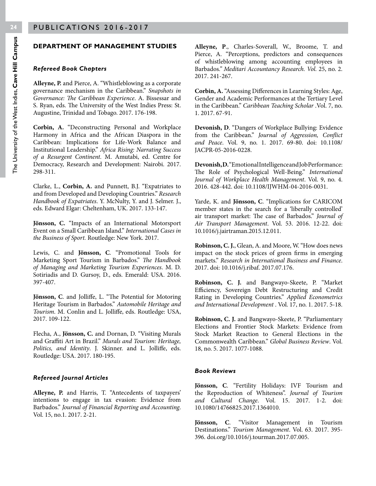#### **DEPARTMENT OF MANAGEMENT STUDIES**

#### *Refereed Book Chapters*

**Alleyne, P.** and Pierce, A. "Whistleblowing as a corporate governance mechanism in the Caribbean." *Snapshots in Governance: The Caribbean Experience*. A. Bissessar and S. Ryan, eds. The University of the West Indies Press: St. Augustine, Trinidad and Tobago. 2017. 176-198.

**Corbin, A.** "Deconstructing Personal and Workplace Harmony in Africa and the African Diaspora in the Caribbean: Implications for Life-Work Balance and Institutional Leadership." *Africa Rising: Narrating Success of a Resurgent Continent.* M. Amutabi, ed. Centre for Democracy, Research and Development: Nairobi. 2017. 298-311.

Clarke, L., **Corbin, A.** and Punnett, B.J. "Expatriates to and from Developed and Developing Countries." *Research Handbook of Expatriates*. Y. McNulty, Y. and J. Selmer. J., eds. Edward Elgar: Cheltenham, UK. 2017. 133-147.

**Jönsson, C.** "Impacts of an International Motorsport Event on a Small Caribbean Island." *International Cases in the Business of Sport.* Routledge: New York. 2017.

Lewis, C. and **Jönsson, C**. "Promotional Tools for Marketing Sport Tourism in Barbados." *The Handbook of Managing and Marketing Tourism Experiences*. M. D. Sotiriadis and D. Gursoy, D., eds. Emerald: USA. 2016. 397-407.

**Jönsson, C**. and Jolliffe, L. "The Potential for Motoring Heritage Tourism in Barbados." *Automobile Heritage and Tourism*. M. Conlin and L. Jolliffe, eds. Routledge: USA, 2017. 109-122.

Flecha, A., **Jönsson, C.** and Dornan, D. "Visiting Murals and Graffiti Art in Brazil." *Murals and Tourism: Heritage, Politics, and Identity*. J. Skinner. and L. Jolliffe, eds. Routledge: USA. 2017. 180-195.

#### *Refereed Journal Articles*

**Alleyne, P.** and Harris, T. "Antecedents of taxpayers' intentions to engage in tax evasion: Evidence from Barbados." *Journal of Financial Reporting and Accounting*. Vol. 15, no.1. 2017. 2-21.

**Alleyne, P**., Charles-Soverall, W., Broome, T. and Pierce, A. "Perceptions, predictors and consequences of whistleblowing among accounting employees in Barbados*." Meditari Accountancy Research. Vol.* 25, no. 2. 2017. 241-267.

**Corbin, A.** "Assessing Differences in Learning Styles: Age, Gender and Academic Performances at the Tertiary Level in the Caribbean." *Caribbean Teaching Scholar* .Vol. 7, no. 1. 2017. 67-91.

**Devonish, D**. "Dangers of Workplace Bullying: Evidence from the Caribbean." *Journal of Aggression, Conflict and Peace*. Vol. 9, no. 1. 2017. 69-80. doi: 10.1108/ JACPR-05-2016-0228.

**Devonish, D.** "Emotional Intelligence and Job Performance: The Role of Psychological Well-Being." *International Journal of Workplace Health Management*. Vol. 9, no. 4. 2016. 428-442. doi: 10.1108/IJWHM-04-2016-0031.

Yarde, K. and **Jönsson, C**. "Implications for CARICOM member states in the search for a 'liberally controlled' air transport market: The case of Barbados." *Journal of Air Transport Management*. Vol. 53. 2016. 12-22. doi: 10.1016/j.jairtraman.2015.12.011.

**Robinson, C. J.**, Glean, A. and Moore, W. "How does news impact on the stock prices of green firms in emerging markets." *Research in International Business and Finance*. 2017. doi: 10.1016/j.ribaf. 2017.07.176.

**Robinson, C. J.** and Bangwayo-Skeete, P. "Market Efficiency, Sovereign Debt Restructuring and Credit Rating in Developing Countries." *Applied Econometrics and International Development* . Vol. 17, no. 1. 2017. 5-18.

**Robinson, C. J.** and Bangwayo-Skeete, P. "Parliamentary Elections and Frontier Stock Markets: Evidence from Stock Market Reaction to General Elections in the Commonwealth Caribbean." *Global Business Review*. Vol. 18, no. 5. 2017. 1077-1088.

#### *Book Reviews*

**Jönsson, C**. "Fertility Holidays: IVF Tourism and the Reproduction of Whiteness". *Journal of Tourism and Cultural Change*. Vol. 15. 2017. 1-2. doi: 10.1080/14766825.2017.1364010.

**Jönsson, C**. "Visitor Management in Tourism Destinations." *Tourism Management*. Vol. 63. 2017. 395- 396. doi.org/10.1016/j.tourman.2017.07.005.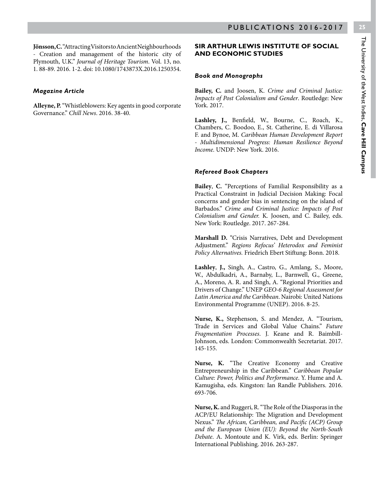Jönsson, C. "Attracting Visitors to Ancient Neighbourhoods - Creation and management of the historic city of Plymouth, U.K." *Journal of Heritage Tourism*. Vol. 13, no. 1. 88-89. 2016. 1-2. doi: 10.1080/1743873X.2016.1250354.

#### *Magazine Article*

**Alleyne, P.** "Whistleblowers: Key agents in good corporate Governance." *Chill News*. 2016. 38-40.

#### **SIR ARTHUR LEWIS INSTITUTE OF SOCIAL AND ECONOMIC STUDIES**

#### *Book and Monographs*

**Bailey, C.** and Joosen, K. *Crime and Criminal Justice: Impacts of Post Colonialism and Gender*. Routledge: New York. 2017.

**Lashley, J.,** Benfield, W., Bourne, C., Roach, K., Chambers, C. Boodoo, E., St. Catherine, E. di Villarosa F. and Bynoe, M. *Caribbean Human Development Report - Multidimensional Progress: Human Resilience Beyond Income*. UNDP: New York. 2016.

#### *Refereed Book Chapters*

**Bailey**, **C.** "Perceptions of Familial Responsibility as a Practical Constraint in Judicial Decision Making: Focal concerns and gender bias in sentencing on the island of Barbados." *Crime and Criminal Justice: Impacts of Post Colonialism and Gender.* K*.* Joosen, and C. Bailey, eds. New York: Routledge. 2017. 267-284.

**Marshall D.** "Crisis Narratives, Debt and Development Adjustment." *Regions Refocus' Heterodox and Feminist Policy Alternatives.* Friedrich Ebert Stiftung: Bonn. 2018.

**Lashley**, **J.,** Singh, A., Castro, G., Amlang, S., Moore, W., Abdulkadri, A., Barnaby, L., Barnwell, G., Greene, A., Moreno, A. R. and Singh, A. "Regional Priorities and Drivers of Change." UNEP *GEO-6 Regional Assessment for Latin America and the Caribbean*. Nairobi: United Nations Environmental Programme (UNEP). 2016. 8-25.

**Nurse, K.,** Stephenson, S. and Mendez, A. "Tourism, Trade in Services and Global Value Chains." *Future Fragmentation Processes*. J. Keane and R. Baimbill-Johnson, eds. London: Commonwealth Secretariat. 2017. 145-155.

**Nurse, K.** "The Creative Economy and Creative Entrepreneurship in the Caribbean." *Caribbean Popular Culture: Power, Politics and Performance*. Y. Hume and A. Kamugisha, eds. Kingston: Ian Randle Publishers. 2016. 693-706.

**Nurse, K.** and Ruggeri, R. "The Role of the Diasporas in the ACP/EU Relationship: The Migration and Development Nexus." *The African, Caribbean, and Pacific (ACP) Group and the European Union (EU): Beyond the North-South Debate*. A. Montoute and K. Virk, eds. Berlin: Springer International Publishing. 2016. 263-287.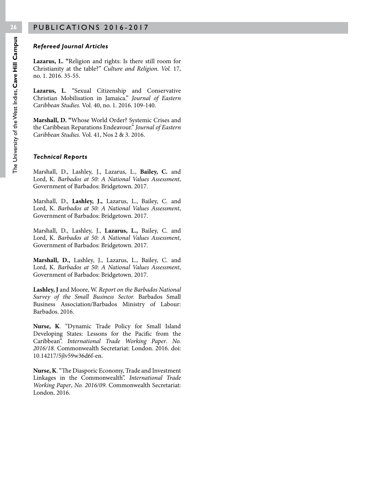#### *Refereed Journal Articles*

**Lazarus, L. "**Religion and rights: Is there still room for Christianity at the table?" *Culture and Religion. Vol.* 17, no. 1. 2016. 35-55.

**Lazarus, L**. "Sexual Citizenship and Conservative Christian Mobilisation in Jamaica." *Journal of Eastern Caribbean Studies.* Vol*.* 40, no. 1. 2016. 109-140.

**Marshall, D. "**Whose World Order? Systemic Crises and the Caribbean Reparations Endeavour." *Journal of Eastern Caribbean Studies.* Vol*.* 41, Nos 2 & 3. 2016.

#### *Technical Reports*

Marshall, D., Lashley, J., Lazarus, L., **Bailey, C.** and Lord, K. *Barbados at 50: A National Values Assessment*, Government of Barbados: Bridgetown. 2017.

Marshall, D., **Lashley, J.,** Lazarus, L., Bailey, C. and Lord, K. *Barbados at 50: A National Values Assessment*, Government of Barbados: Bridgetown. 2017.

Marshall, D., Lashley, J., **Lazarus, L.,** Bailey, C. and Lord, K. *Barbados at 50: A National Values Assessment*, Government of Barbados: Bridgetown. 2017.

**Marshall, D.,** Lashley, J., Lazarus, L., Bailey, C. and Lord, K. *Barbados at 50: A National Values Assessment*, Government of Barbados: Bridgetown. 2017.

**Lashley, J** and Moore, W. *Report on the Barbados National Survey of the Small Business Sector.* Barbados Small Business Association/Barbados Ministry of Labour: Barbados. 2016.

**Nurse, K**. "Dynamic Trade Policy for Small Island Developing States: Lessons for the Pacific from the Caribbean". *International Trade Working Paper*. *No. 2016/18.* Commonwealth Secretariat: London. 2016. doi: 10.14217/5jlv59w36d6f-en.

**Nurse, K**. "The Diasporic Economy, Trade and Investment Linkages in the Commonwealth". *International Trade Working Paper*, *No. 2016/09*. Commonwealth Secretariat: London. 2016.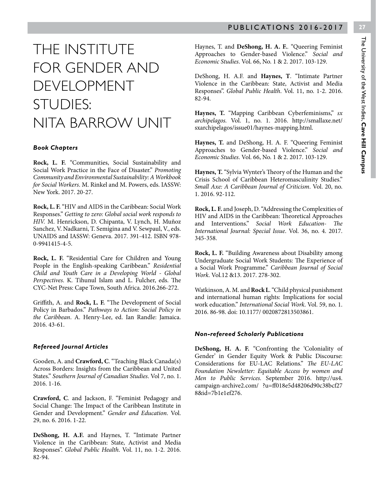## THE INSTITUTE FOR GENDER AND DEVELOPMENT STUDIES: NITA BARROW UNIT

#### *Book Chapters*

**Rock, L. F.** "Communities, Social Sustainability and Social Work Practice in the Face of Disaster." *Promoting Community and Environmental Sustainability: A Workbook for Social Workers*. M. Rinkel and M. Powers, eds. IASSW: New York. 2017. 20-27.

**Rock, L. F.** "HIV and AIDS in the Caribbean: Social Work Responses." *Getting to zero: Global social work responds to HIV.* M. Henrickson, D. Chipanta, V. Lynch, H. Muñoz Sanchez, V. Nadkarni, T. Semigina and V. Sewpaul, V., eds. UNAIDS and IASSW: Geneva. 2017. 391-412. ISBN 978- 0-9941415-4-5.

**Rock, L. F.** "Residential Care for Children and Young People in the English-speaking Caribbean." *Residential Child and Youth Care in a Developing World - Global Perspectives*. K. Tihunul Islam and L. Fulcher, eds. The CYC-Net Press: Cape Town, South Africa. 2016.266-272.

Griffith, A. and **Rock, L. F.** "The Development of Social Policy in Barbados." *Pathways to Action: Social Policy in the Caribbean*. A. Henry-Lee, ed. Ian Randle: Jamaica. 2016. 43-61.

#### *Refereed Journal Articles*

Gooden, A. and **Crawford, C**. "Teaching Black Canada(s) Across Borders: Insights from the Caribbean and United States." *Southern Journal of Canadian Studies*. Vol 7, no. 1. 2016. 1-16.

**Crawford, C**. and Jackson, F. "Feminist Pedagogy and Social Change: The Impact of the Caribbean Institute in Gender and Development." *Gender and Education*. Vol. 29, no. 6. 2016. 1-22.

**DeShong, H. A.F.** and Haynes, T. "Intimate Partner Violence in the Caribbean: State, Activist and Media Responses". *Global Public Health*. Vol. 11, no. 1-2. 2016. 82-94.

Haynes, T. and **DeShong, H. A. F.**. "Queering Feminist Approaches to Gender-based Violence." *Social and Economic Studies*. Vol. 66, No. 1 & 2. 2017. 103-129.

DeShong, H. A.F. and **Haynes, T**. "Intimate Partner Violence in the Caribbean: State, Activist and Media Responses". *Global Public Health*. Vol. 11, no. 1-2. 2016. 82-94.

**Haynes, T.** "Mapping Caribbean Cyberfeminisms," *sx archipelagos.* Vol. 1, no. 1. 2016. http://smallaxe.net/ sxarchipelagos/issue01/haynes-mapping.html.

**Haynes, T.** and DeShong, H. A. F. "Queering Feminist Approaches to Gender-based Violence." *Social and Economic Studies*. Vol. 66, No. 1 & 2. 2017. 103-129.

**Haynes, T.** "Sylvia Wynter's Theory of the Human and the Crisis School of Caribbean Heteromasculinity Studies." *Small Axe: A Caribbean Journal of Criticism*. Vol. 20, no. 1. 2016. 92-112.

**Rock, L. F.** and Joseph, D. "Addressing the Complexities of HIV and AIDS in the Caribbean: Theoretical Approaches and Interventions." *Social Work Education- The International Journal: Special Issue*. Vol. 36, no. 4. 2017. 345-358.

**Rock, L. F.** "Building Awareness about Disability among Undergraduate Social Work Students: The Experience of a Social Work Programme." *Caribbean Journal of Social Work*. Vol.12 &13. 2017. 278-302.

Watkinson, A. M. and **Rock L**. "Child physical punishment and international human rights: Implications for social work education." *International Social Work*. Vol. 59, no. 1. 2016. 86-98. doi: 10.1177/ 0020872813503861.

#### *Non-refereed Scholarly Publications*

**DeShong, H. A. F.** "Confronting the 'Coloniality of Gender' in Gender Equity Work & Public Discourse: Considerations for EU-LAC Relations." *The EU-LAC Foundation Newsletter: Equitable Access by women and Men to Public Services.* September 2016. http://us4. campaign-archive2.com/ ?u=ff018e5d48206d90c38bcf27  $8\&$ id=7b1e1ef276.